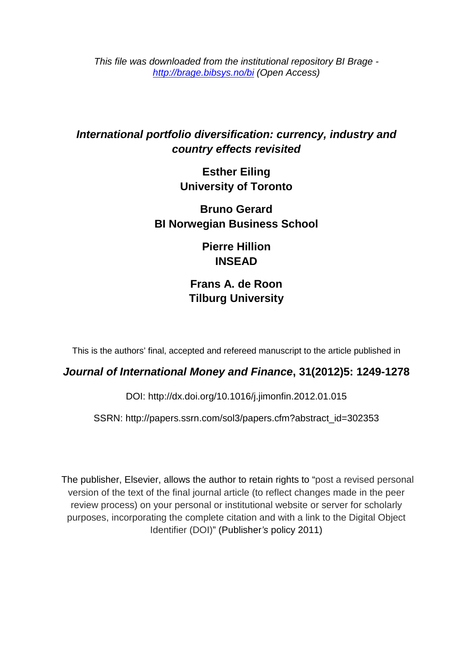*This file was downloaded from the institutional repository BI Brage <http://brage.bibsys.no/bi> (Open Access)*

## *[International portfolio diversification: currency, industry and](http://www.sciencedirect.com/science/article/pii/S0261560612000319)  [country effects revisited](http://www.sciencedirect.com/science/article/pii/S0261560612000319)*

**Esther Eiling University of Toronto** 

**Bruno Gerard BI Norwegian Business School** 

> **Pierre Hillion INSEAD**

**Frans A. de Roon Tilburg University**

This is the authors' final, accepted and refereed manuscript to the article published in

## *Journal of International Money and Finance***, 31(2012)5: 1249-1278**

DOI: <http://dx.doi.org/10.1016/j.jimonfin.2012.01.015>

SSRN: http://papers.ssrn.com/sol3/papers.cfm?abstract\_id=302353

The publisher, Elsevier, allows the author to retain rights to "post a revised personal version of the text of the final journal article (to reflect changes made in the peer review process) on your personal or institutional website or server for scholarly purposes, incorporating the complete citation and with a link to the Digital Object Identifier (DOI)" (Publisher*'s* policy 2011)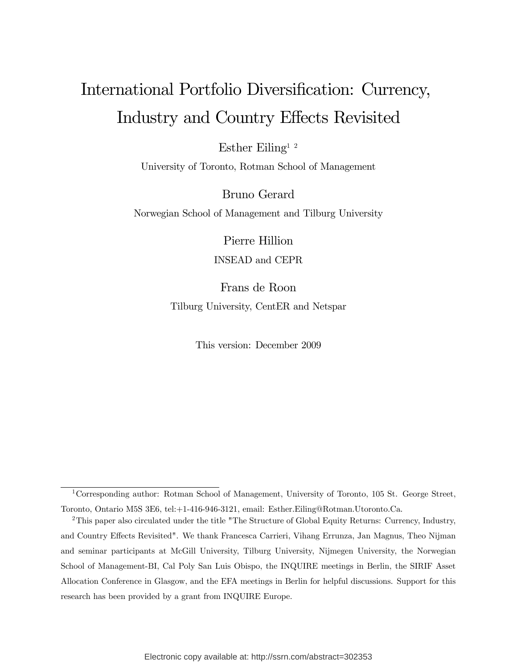## International Portfolio Diversification: Currency, Industry and Country Effects Revisited

Esther Eiling<sup>1 2</sup>

University of Toronto, Rotman School of Management

Bruno Gerard

Norwegian School of Management and Tilburg University

Pierre Hillion INSEAD and CEPR

Frans de Roon Tilburg University, CentER and Netspar

This version: December 2009

<sup>&</sup>lt;sup>1</sup>Corresponding author: Rotman School of Management, University of Toronto, 105 St. George Street, Toronto, Ontario M5S 3E6, tel:+1-416-946-3121, email: Esther.Eiling@Rotman.Utoronto.Ca.

<sup>&</sup>lt;sup>2</sup>This paper also circulated under the title "The Structure of Global Equity Returns: Currency, Industry, and Country Effects Revisited". We thank Francesca Carrieri, Vihang Errunza, Jan Magnus, Theo Nijman and seminar participants at McGill University, Tilburg University, Nijmegen University, the Norwegian School of Management-BI, Cal Poly San Luis Obispo, the INQUIRE meetings in Berlin, the SIRIF Asset Allocation Conference in Glasgow, and the EFA meetings in Berlin for helpful discussions. Support for this research has been provided by a grant from INQUIRE Europe.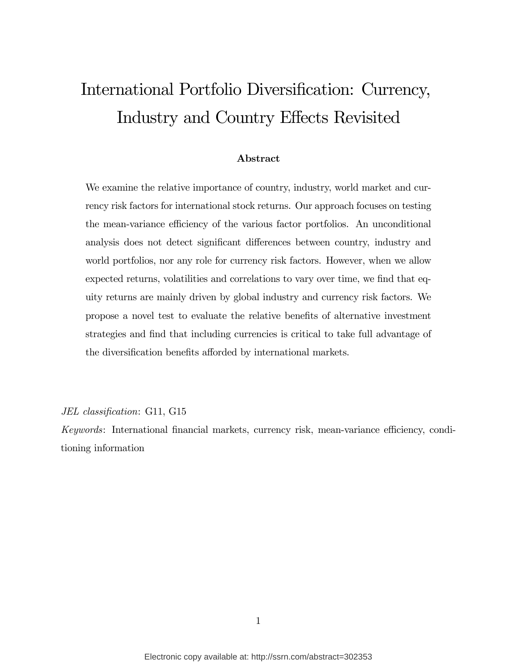## International Portfolio Diversification: Currency, Industry and Country Effects Revisited

#### Abstract

We examine the relative importance of country, industry, world market and currency risk factors for international stock returns. Our approach focuses on testing the mean-variance efficiency of the various factor portfolios. An unconditional analysis does not detect significant differences between country, industry and world portfolios, nor any role for currency risk factors. However, when we allow expected returns, volatilities and correlations to vary over time, we find that equity returns are mainly driven by global industry and currency risk factors. We propose a novel test to evaluate the relative benefits of alternative investment strategies and find that including currencies is critical to take full advantage of the diversification benefits afforded by international markets.

JEL classification: G11, G15

Keywords: International financial markets, currency risk, mean-variance efficiency, conditioning information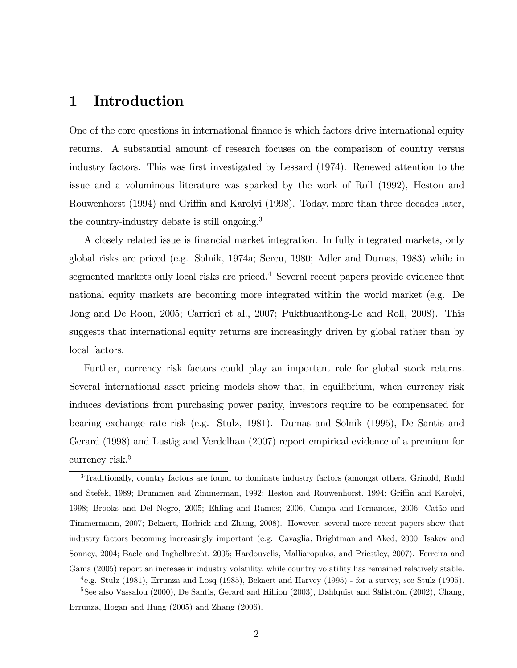## 1 Introduction

One of the core questions in international finance is which factors drive international equity returns. A substantial amount of research focuses on the comparison of country versus industry factors. This was first investigated by Lessard (1974). Renewed attention to the issue and a voluminous literature was sparked by the work of Roll (1992), Heston and Rouwenhorst (1994) and Griffin and Karolyi (1998). Today, more than three decades later, the country-industry debate is still ongoing.3

A closely related issue is financial market integration. In fully integrated markets, only global risks are priced (e.g. Solnik, 1974a; Sercu, 1980; Adler and Dumas, 1983) while in segmented markets only local risks are priced.<sup>4</sup> Several recent papers provide evidence that national equity markets are becoming more integrated within the world market (e.g. De Jong and De Roon, 2005; Carrieri et al., 2007; Pukthuanthong-Le and Roll, 2008). This suggests that international equity returns are increasingly driven by global rather than by local factors.

Further, currency risk factors could play an important role for global stock returns. Several international asset pricing models show that, in equilibrium, when currency risk induces deviations from purchasing power parity, investors require to be compensated for bearing exchange rate risk (e.g. Stulz, 1981). Dumas and Solnik (1995), De Santis and Gerard (1998) and Lustig and Verdelhan (2007) report empirical evidence of a premium for currency risk.<sup>5</sup>

Errunza, Hogan and Hung (2005) and Zhang (2006).

<sup>3</sup>Traditionally, country factors are found to dominate industry factors (amongst others, Grinold, Rudd and Stefek, 1989; Drummen and Zimmerman, 1992; Heston and Rouwenhorst, 1994; Griffin and Karolyi, 1998; Brooks and Del Negro, 2005; Ehling and Ramos; 2006, Campa and Fernandes, 2006; Catão and Timmermann, 2007; Bekaert, Hodrick and Zhang, 2008). However, several more recent papers show that industry factors becoming increasingly important (e.g. Cavaglia, Brightman and Aked, 2000; Isakov and Sonney, 2004; Baele and Inghelbrecht, 2005; Hardouvelis, Malliaropulos, and Priestley, 2007). Ferreira and Gama (2005) report an increase in industry volatility, while country volatility has remained relatively stable.  $^{4}$ e.g. Stulz (1981), Errunza and Losq (1985), Bekaert and Harvey (1995) - for a survey, see Stulz (1995). <sup>5</sup>See also Vassalou (2000), De Santis, Gerard and Hillion (2003), Dahlquist and Sällström (2002), Chang,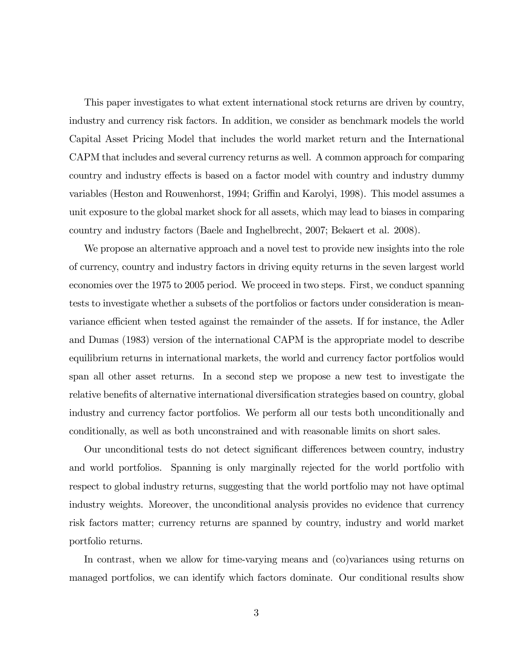This paper investigates to what extent international stock returns are driven by country, industry and currency risk factors. In addition, we consider as benchmark models the world Capital Asset Pricing Model that includes the world market return and the International CAPM that includes and several currency returns as well. A common approach for comparing country and industry effects is based on a factor model with country and industry dummy variables (Heston and Rouwenhorst, 1994; Griffin and Karolyi, 1998). This model assumes a unit exposure to the global market shock for all assets, which may lead to biases in comparing country and industry factors (Baele and Inghelbrecht, 2007; Bekaert et al. 2008).

We propose an alternative approach and a novel test to provide new insights into the role of currency, country and industry factors in driving equity returns in the seven largest world economies over the 1975 to 2005 period. We proceed in two steps. First, we conduct spanning tests to investigate whether a subsets of the portfolios or factors under consideration is meanvariance efficient when tested against the remainder of the assets. If for instance, the Adler and Dumas (1983) version of the international CAPM is the appropriate model to describe equilibrium returns in international markets, the world and currency factor portfolios would span all other asset returns. In a second step we propose a new test to investigate the relative benefits of alternative international diversification strategies based on country, global industry and currency factor portfolios. We perform all our tests both unconditionally and conditionally, as well as both unconstrained and with reasonable limits on short sales.

Our unconditional tests do not detect significant differences between country, industry and world portfolios. Spanning is only marginally rejected for the world portfolio with respect to global industry returns, suggesting that the world portfolio may not have optimal industry weights. Moreover, the unconditional analysis provides no evidence that currency risk factors matter; currency returns are spanned by country, industry and world market portfolio returns.

In contrast, when we allow for time-varying means and (co)variances using returns on managed portfolios, we can identify which factors dominate. Our conditional results show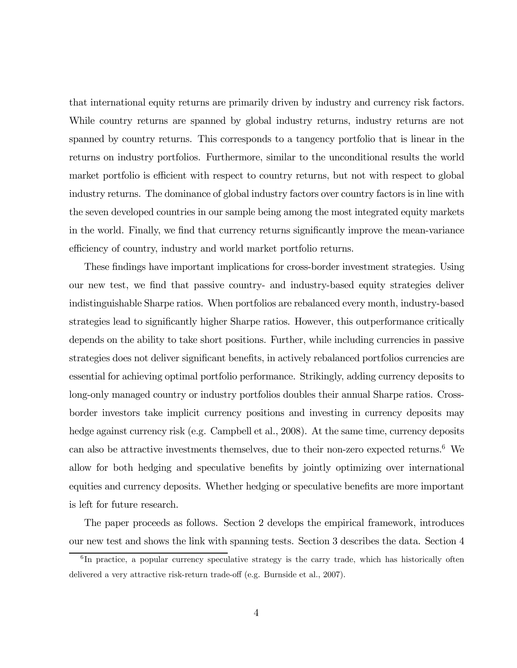that international equity returns are primarily driven by industry and currency risk factors. While country returns are spanned by global industry returns, industry returns are not spanned by country returns. This corresponds to a tangency portfolio that is linear in the returns on industry portfolios. Furthermore, similar to the unconditional results the world market portfolio is efficient with respect to country returns, but not with respect to global industry returns. The dominance of global industry factors over country factors is in line with the seven developed countries in our sample being among the most integrated equity markets in the world. Finally, we find that currency returns significantly improve the mean-variance efficiency of country, industry and world market portfolio returns.

These findings have important implications for cross-border investment strategies. Using our new test, we find that passive country- and industry-based equity strategies deliver indistinguishable Sharpe ratios. When portfolios are rebalanced every month, industry-based strategies lead to significantly higher Sharpe ratios. However, this outperformance critically depends on the ability to take short positions. Further, while including currencies in passive strategies does not deliver significant benefits, in actively rebalanced portfolios currencies are essential for achieving optimal portfolio performance. Strikingly, adding currency deposits to long-only managed country or industry portfolios doubles their annual Sharpe ratios. Crossborder investors take implicit currency positions and investing in currency deposits may hedge against currency risk (e.g. Campbell et al., 2008). At the same time, currency deposits can also be attractive investments themselves, due to their non-zero expected returns.<sup>6</sup> We allow for both hedging and speculative benefits by jointly optimizing over international equities and currency deposits. Whether hedging or speculative benefits are more important is left for future research.

The paper proceeds as follows. Section 2 develops the empirical framework, introduces our new test and shows the link with spanning tests. Section 3 describes the data. Section 4

<sup>&</sup>lt;sup>6</sup>In practice, a popular currency speculative strategy is the carry trade, which has historically often delivered a very attractive risk-return trade-off (e.g. Burnside et al., 2007).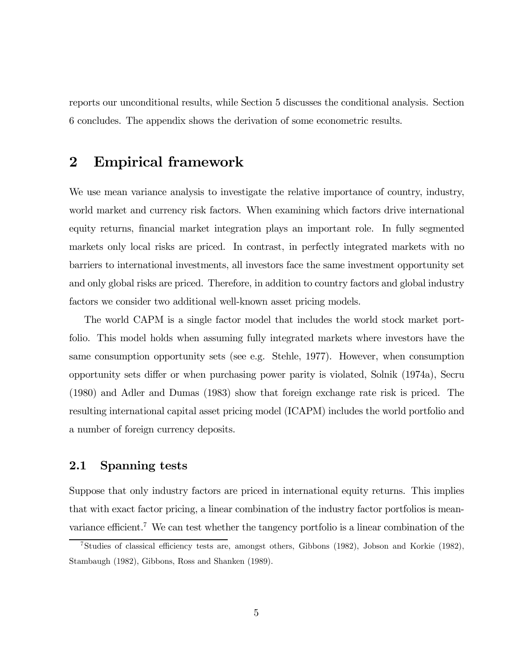reports our unconditional results, while Section 5 discusses the conditional analysis. Section 6 concludes. The appendix shows the derivation of some econometric results.

## 2 Empirical framework

We use mean variance analysis to investigate the relative importance of country, industry, world market and currency risk factors. When examining which factors drive international equity returns, financial market integration plays an important role. In fully segmented markets only local risks are priced. In contrast, in perfectly integrated markets with no barriers to international investments, all investors face the same investment opportunity set and only global risks are priced. Therefore, in addition to country factors and global industry factors we consider two additional well-known asset pricing models.

The world CAPM is a single factor model that includes the world stock market portfolio. This model holds when assuming fully integrated markets where investors have the same consumption opportunity sets (see e.g. Stehle, 1977). However, when consumption opportunity sets differ or when purchasing power parity is violated, Solnik (1974a), Secru (1980) and Adler and Dumas (1983) show that foreign exchange rate risk is priced. The resulting international capital asset pricing model (ICAPM) includes the world portfolio and a number of foreign currency deposits.

#### 2.1 Spanning tests

Suppose that only industry factors are priced in international equity returns. This implies that with exact factor pricing, a linear combination of the industry factor portfolios is meanvariance efficient.<sup>7</sup> We can test whether the tangency portfolio is a linear combination of the

<sup>7</sup>Studies of classical efficiency tests are, amongst others, Gibbons (1982), Jobson and Korkie (1982), Stambaugh (1982), Gibbons, Ross and Shanken (1989).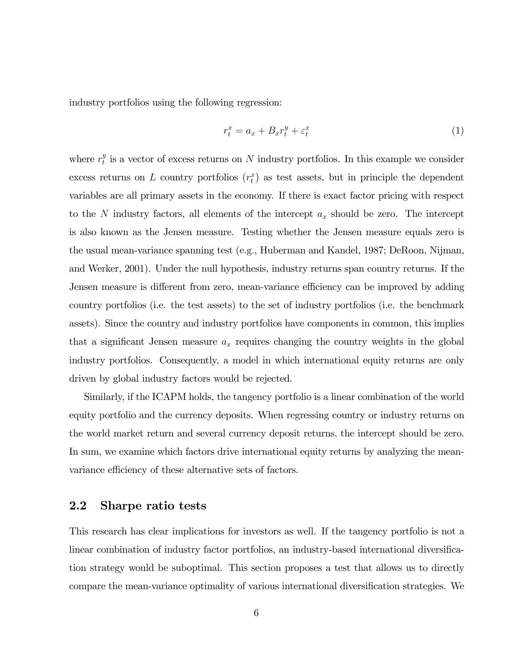industry portfolios using the following regression:

$$
r_t^x = a_x + B_x r_t^y + \varepsilon_t^x \tag{1}
$$

where  $r_t^y$  is a vector of excess returns on N industry portfolios. In this example we consider excess returns on L country portfolios  $(r_t^x)$  as test assets, but in principle the dependent variables are all primary assets in the economy. If there is exact factor pricing with respect to the N industry factors, all elements of the intercept  $a_x$  should be zero. The intercept is also known as the Jensen measure. Testing whether the Jensen measure equals zero is the usual mean-variance spanning test (e.g., Huberman and Kandel, 1987; DeRoon, Nijman, and Werker, 2001). Under the null hypothesis, industry returns span country returns. If the Jensen measure is different from zero, mean-variance efficiency can be improved by adding country portfolios (i.e. the test assets) to the set of industry portfolios (i.e. the benchmark assets). Since the country and industry portfolios have components in common, this implies that a significant Jensen measure  $a_x$  requires changing the country weights in the global industry portfolios. Consequently, a model in which international equity returns are only driven by global industry factors would be rejected.

Similarly, if the ICAPM holds, the tangency portfolio is a linear combination of the world equity portfolio and the currency deposits. When regressing country or industry returns on the world market return and several currency deposit returns, the intercept should be zero. In sum, we examine which factors drive international equity returns by analyzing the meanvariance efficiency of these alternative sets of factors.

#### 2.2 Sharpe ratio tests

This research has clear implications for investors as well. If the tangency portfolio is not a linear combination of industry factor portfolios, an industry-based international diversification strategy would be suboptimal. This section proposes a test that allows us to directly compare the mean-variance optimality of various international diversification strategies. We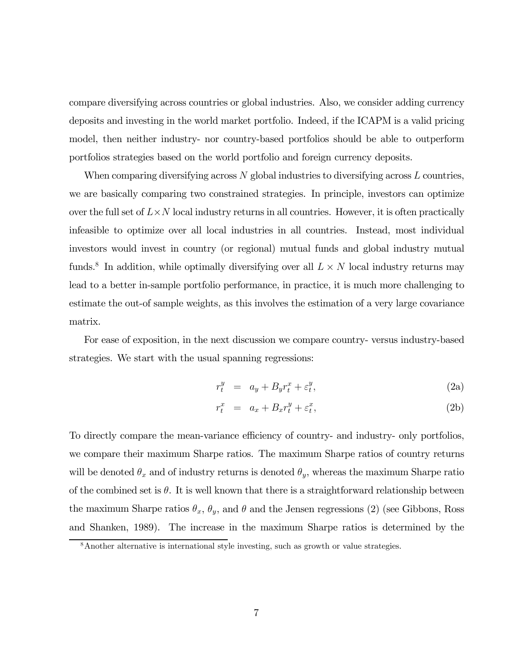compare diversifying across countries or global industries. Also, we consider adding currency deposits and investing in the world market portfolio. Indeed, if the ICAPM is a valid pricing model, then neither industry- nor country-based portfolios should be able to outperform portfolios strategies based on the world portfolio and foreign currency deposits.

When comparing diversifying across  $N$  global industries to diversifying across  $L$  countries, we are basically comparing two constrained strategies. In principle, investors can optimize over the full set of  $L \times N$  local industry returns in all countries. However, it is often practically infeasible to optimize over all local industries in all countries. Instead, most individual investors would invest in country (or regional) mutual funds and global industry mutual funds.<sup>8</sup> In addition, while optimally diversifying over all  $L \times N$  local industry returns may lead to a better in-sample portfolio performance, in practice, it is much more challenging to estimate the out-of sample weights, as this involves the estimation of a very large covariance matrix.

For ease of exposition, in the next discussion we compare country- versus industry-based strategies. We start with the usual spanning regressions:

$$
r_t^y = a_y + B_y r_t^x + \varepsilon_t^y,\tag{2a}
$$

$$
r_t^x = a_x + B_x r_t^y + \varepsilon_t^x, \tag{2b}
$$

To directly compare the mean-variance efficiency of country- and industry- only portfolios, we compare their maximum Sharpe ratios. The maximum Sharpe ratios of country returns will be denoted  $\theta_x$  and of industry returns is denoted  $\theta_y$ , whereas the maximum Sharpe ratio of the combined set is  $\theta$ . It is well known that there is a straightforward relationship between the maximum Sharpe ratios  $\theta_x$ ,  $\theta_y$ , and  $\theta$  and the Jensen regressions (2) (see Gibbons, Ross and Shanken, 1989). The increase in the maximum Sharpe ratios is determined by the

<sup>8</sup>Another alternative is international style investing, such as growth or value strategies.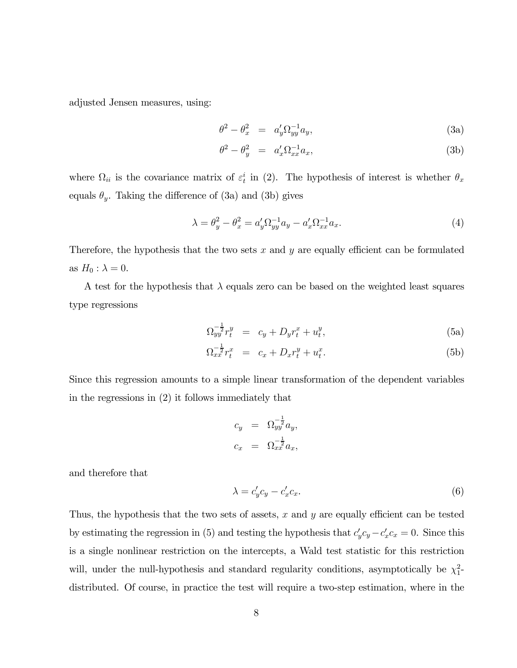adjusted Jensen measures, using:

$$
\theta^2 - \theta_x^2 = a_y' \Omega_{yy}^{-1} a_y,\tag{3a}
$$

$$
\theta^2 - \theta_y^2 = a_x' \Omega_{xx}^{-1} a_x,\tag{3b}
$$

where  $\Omega_{ii}$  is the covariance matrix of  $\varepsilon_t^i$  in (2). The hypothesis of interest is whether  $\theta_x$ equals  $\theta_y$ . Taking the difference of (3a) and (3b) gives

$$
\lambda = \theta_y^2 - \theta_x^2 = a_y' \Omega_{yy}^{-1} a_y - a_x' \Omega_{xx}^{-1} a_x.
$$
 (4)

Therefore, the hypothesis that the two sets  $x$  and  $y$  are equally efficient can be formulated as  $H_0$ :  $\lambda = 0$ .

A test for the hypothesis that  $\lambda$  equals zero can be based on the weighted least squares type regressions

$$
\Omega_{yy}^{-\frac{1}{2}} r_t^y = c_y + D_y r_t^x + u_t^y, \tag{5a}
$$

$$
\Omega_{xx}^{-\frac{1}{2}} r_t^x = c_x + D_x r_t^y + u_t^x. \tag{5b}
$$

Since this regression amounts to a simple linear transformation of the dependent variables in the regressions in (2) it follows immediately that

$$
c_y = \Omega_{yy}^{-\frac{1}{2}} a_y,
$$
  

$$
c_x = \Omega_{xx}^{-\frac{1}{2}} a_x,
$$

and therefore that

$$
\lambda = c'_y c_y - c'_x c_x. \tag{6}
$$

Thus, the hypothesis that the two sets of assets,  $x$  and  $y$  are equally efficient can be tested by estimating the regression in (5) and testing the hypothesis that  $c'_y c_y - c'_x c_x = 0$ . Since this is a single nonlinear restriction on the intercepts, a Wald test statistic for this restriction will, under the null-hypothesis and standard regularity conditions, asymptotically be  $\chi_1^2$ distributed. Of course, in practice the test will require a two-step estimation, where in the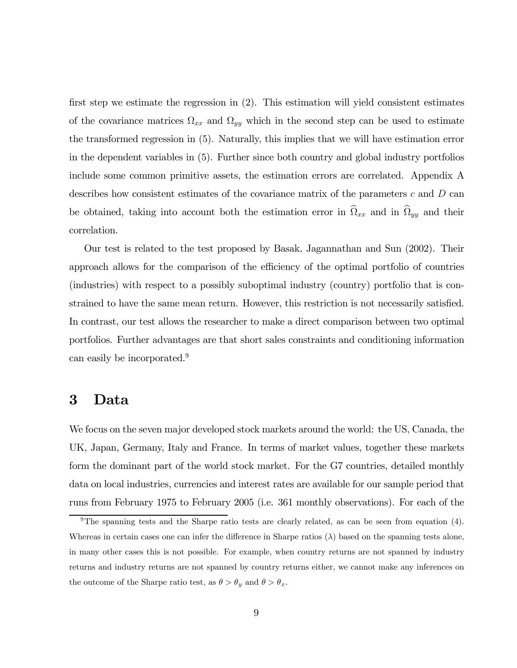first step we estimate the regression in (2). This estimation will yield consistent estimates of the covariance matrices  $\Omega_{xx}$  and  $\Omega_{yy}$  which in the second step can be used to estimate the transformed regression in (5). Naturally, this implies that we will have estimation error in the dependent variables in (5). Further since both country and global industry portfolios include some common primitive assets, the estimation errors are correlated. Appendix A describes how consistent estimates of the covariance matrix of the parameters  $c$  and  $D$  can be obtained, taking into account both the estimation error in  $\hat{\Omega}_{xx}$  and in  $\hat{\Omega}_{yy}$  and their correlation.

Our test is related to the test proposed by Basak, Jagannathan and Sun (2002). Their approach allows for the comparison of the efficiency of the optimal portfolio of countries (industries) with respect to a possibly suboptimal industry (country) portfolio that is constrained to have the same mean return. However, this restriction is not necessarily satisfied. In contrast, our test allows the researcher to make a direct comparison between two optimal portfolios. Further advantages are that short sales constraints and conditioning information can easily be incorporated.<sup>9</sup>

## 3 Data

We focus on the seven major developed stock markets around the world: the US, Canada, the UK, Japan, Germany, Italy and France. In terms of market values, together these markets form the dominant part of the world stock market. For the G7 countries, detailed monthly data on local industries, currencies and interest rates are available for our sample period that runs from February 1975 to February 2005 (i.e. 361 monthly observations). For each of the

<sup>&</sup>lt;sup>9</sup>The spanning tests and the Sharpe ratio tests are clearly related, as can be seen from equation (4). Whereas in certain cases one can infer the difference in Sharpe ratios  $(\lambda)$  based on the spanning tests alone, in many other cases this is not possible. For example, when country returns are not spanned by industry returns and industry returns are not spanned by country returns either, we cannot make any inferences on the outcome of the Sharpe ratio test, as  $\theta > \theta_y$  and  $\theta > \theta_x$ .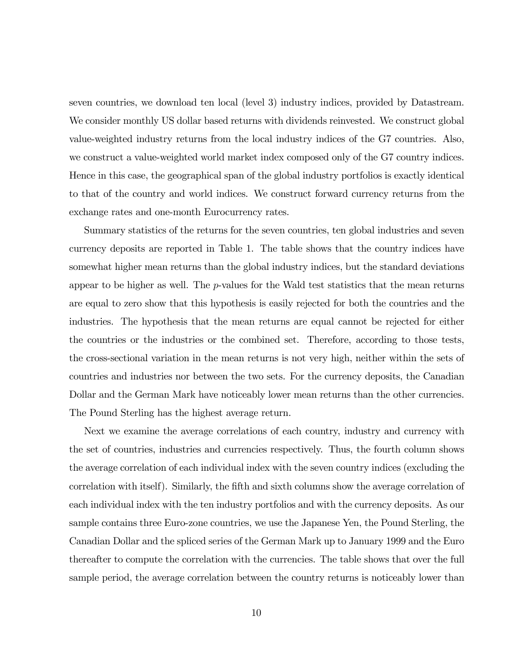seven countries, we download ten local (level 3) industry indices, provided by Datastream. We consider monthly US dollar based returns with dividends reinvested. We construct global value-weighted industry returns from the local industry indices of the G7 countries. Also, we construct a value-weighted world market index composed only of the G7 country indices. Hence in this case, the geographical span of the global industry portfolios is exactly identical to that of the country and world indices. We construct forward currency returns from the exchange rates and one-month Eurocurrency rates.

Summary statistics of the returns for the seven countries, ten global industries and seven currency deposits are reported in Table 1. The table shows that the country indices have somewhat higher mean returns than the global industry indices, but the standard deviations appear to be higher as well. The p-values for the Wald test statistics that the mean returns are equal to zero show that this hypothesis is easily rejected for both the countries and the industries. The hypothesis that the mean returns are equal cannot be rejected for either the countries or the industries or the combined set. Therefore, according to those tests, the cross-sectional variation in the mean returns is not very high, neither within the sets of countries and industries nor between the two sets. For the currency deposits, the Canadian Dollar and the German Mark have noticeably lower mean returns than the other currencies. The Pound Sterling has the highest average return.

Next we examine the average correlations of each country, industry and currency with the set of countries, industries and currencies respectively. Thus, the fourth column shows the average correlation of each individual index with the seven country indices (excluding the correlation with itself). Similarly, the fifth and sixth columns show the average correlation of each individual index with the ten industry portfolios and with the currency deposits. As our sample contains three Euro-zone countries, we use the Japanese Yen, the Pound Sterling, the Canadian Dollar and the spliced series of the German Mark up to January 1999 and the Euro thereafter to compute the correlation with the currencies. The table shows that over the full sample period, the average correlation between the country returns is noticeably lower than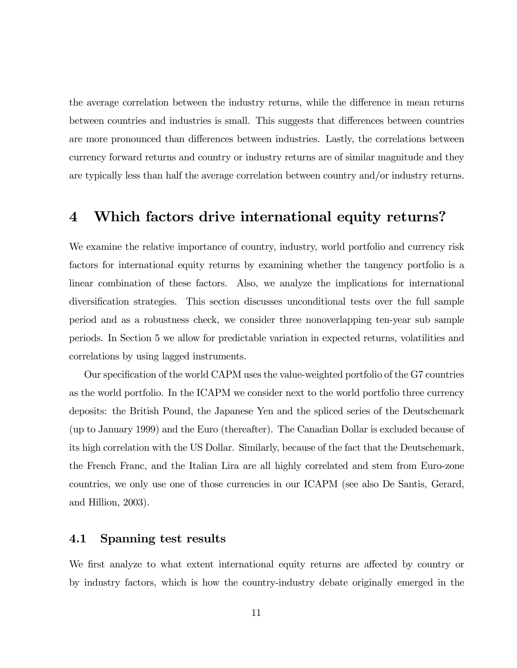the average correlation between the industry returns, while the difference in mean returns between countries and industries is small. This suggests that differences between countries are more pronounced than differences between industries. Lastly, the correlations between currency forward returns and country or industry returns are of similar magnitude and they are typically less than half the average correlation between country and/or industry returns.

### 4 Which factors drive international equity returns?

We examine the relative importance of country, industry, world portfolio and currency risk factors for international equity returns by examining whether the tangency portfolio is a linear combination of these factors. Also, we analyze the implications for international diversification strategies. This section discusses unconditional tests over the full sample period and as a robustness check, we consider three nonoverlapping ten-year sub sample periods. In Section 5 we allow for predictable variation in expected returns, volatilities and correlations by using lagged instruments.

Our specification of the world CAPM uses the value-weighted portfolio of the G7 countries as the world portfolio. In the ICAPM we consider next to the world portfolio three currency deposits: the British Pound, the Japanese Yen and the spliced series of the Deutschemark (up to January 1999) and the Euro (thereafter). The Canadian Dollar is excluded because of its high correlation with the US Dollar. Similarly, because of the fact that the Deutschemark, the French Franc, and the Italian Lira are all highly correlated and stem from Euro-zone countries, we only use one of those currencies in our ICAPM (see also De Santis, Gerard, and Hillion, 2003).

#### 4.1 Spanning test results

We first analyze to what extent international equity returns are affected by country or by industry factors, which is how the country-industry debate originally emerged in the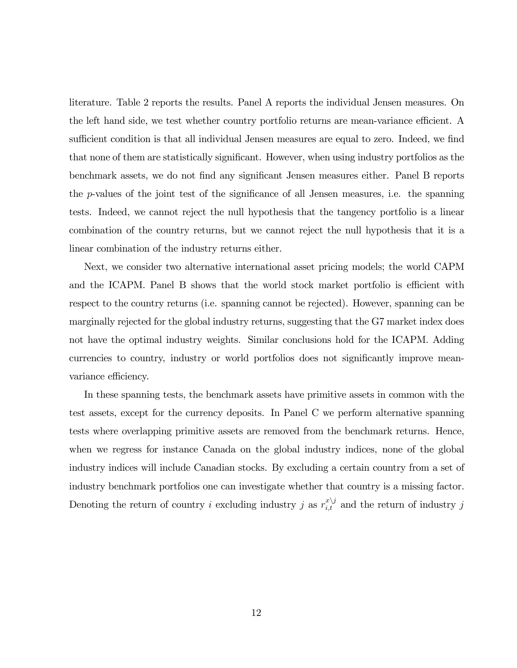literature. Table 2 reports the results. Panel A reports the individual Jensen measures. On the left hand side, we test whether country portfolio returns are mean-variance efficient. A sufficient condition is that all individual Jensen measures are equal to zero. Indeed, we find that none of them are statistically significant. However, when using industry portfolios as the benchmark assets, we do not find any significant Jensen measures either. Panel B reports the p-values of the joint test of the significance of all Jensen measures, i.e. the spanning tests. Indeed, we cannot reject the null hypothesis that the tangency portfolio is a linear combination of the country returns, but we cannot reject the null hypothesis that it is a linear combination of the industry returns either.

Next, we consider two alternative international asset pricing models; the world CAPM and the ICAPM. Panel B shows that the world stock market portfolio is efficient with respect to the country returns (i.e. spanning cannot be rejected). However, spanning can be marginally rejected for the global industry returns, suggesting that the G7 market index does not have the optimal industry weights. Similar conclusions hold for the ICAPM. Adding currencies to country, industry or world portfolios does not significantly improve meanvariance efficiency.

In these spanning tests, the benchmark assets have primitive assets in common with the test assets, except for the currency deposits. In Panel C we perform alternative spanning tests where overlapping primitive assets are removed from the benchmark returns. Hence, when we regress for instance Canada on the global industry indices, none of the global industry indices will include Canadian stocks. By excluding a certain country from a set of industry benchmark portfolios one can investigate whether that country is a missing factor. Denoting the return of country i excluding industry j as  $r_{i,t}^{x \setminus j}$  and the return of industry j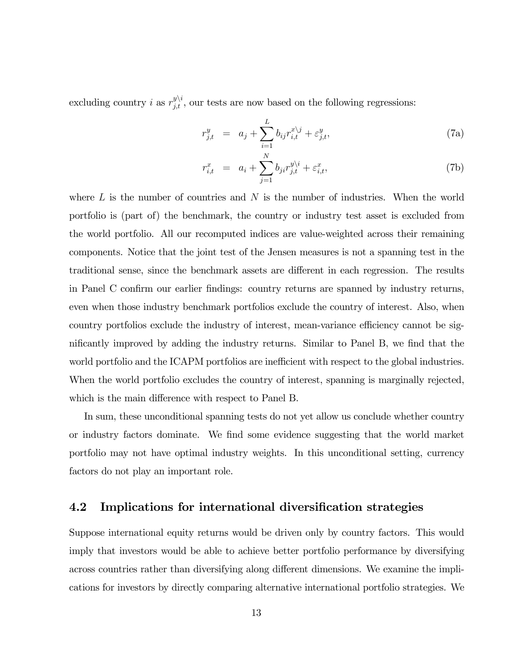excluding country *i* as  $r_{j,t}^{y \setminus i}$ , our tests are now based on the following regressions:

$$
r_{j,t}^y = a_j + \sum_{i=1}^L b_{ij} r_{i,t}^{x \backslash j} + \varepsilon_{j,t}^y,
$$
 (7a)

$$
r_{i,t}^x = a_i + \sum_{j=1}^N b_{ji} r_{j,t}^{y \backslash i} + \varepsilon_{i,t}^x,
$$
 (7b)

where  $L$  is the number of countries and  $N$  is the number of industries. When the world portfolio is (part of) the benchmark, the country or industry test asset is excluded from the world portfolio. All our recomputed indices are value-weighted across their remaining components. Notice that the joint test of the Jensen measures is not a spanning test in the traditional sense, since the benchmark assets are different in each regression. The results in Panel C confirm our earlier findings: country returns are spanned by industry returns, even when those industry benchmark portfolios exclude the country of interest. Also, when country portfolios exclude the industry of interest, mean-variance efficiency cannot be significantly improved by adding the industry returns. Similar to Panel B, we find that the world portfolio and the ICAPM portfolios are inefficient with respect to the global industries. When the world portfolio excludes the country of interest, spanning is marginally rejected, which is the main difference with respect to Panel B.

In sum, these unconditional spanning tests do not yet allow us conclude whether country or industry factors dominate. We find some evidence suggesting that the world market portfolio may not have optimal industry weights. In this unconditional setting, currency factors do not play an important role.

#### 4.2 Implications for international diversification strategies

Suppose international equity returns would be driven only by country factors. This would imply that investors would be able to achieve better portfolio performance by diversifying across countries rather than diversifying along different dimensions. We examine the implications for investors by directly comparing alternative international portfolio strategies. We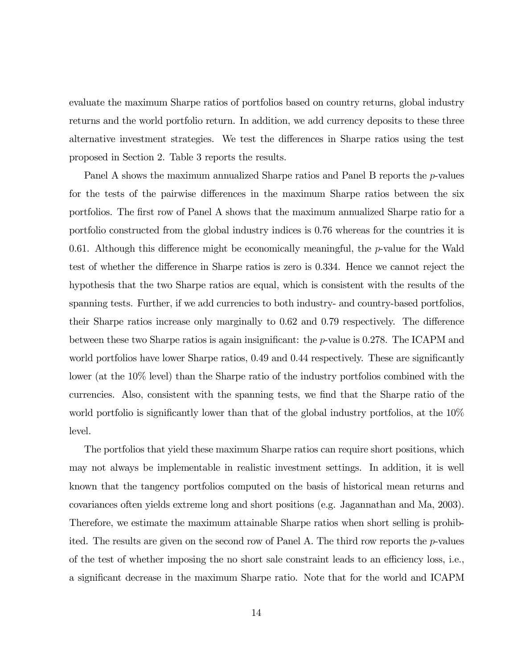evaluate the maximum Sharpe ratios of portfolios based on country returns, global industry returns and the world portfolio return. In addition, we add currency deposits to these three alternative investment strategies. We test the differences in Sharpe ratios using the test proposed in Section 2. Table 3 reports the results.

Panel A shows the maximum annualized Sharpe ratios and Panel B reports the p-values for the tests of the pairwise differences in the maximum Sharpe ratios between the six portfolios. The first row of Panel A shows that the maximum annualized Sharpe ratio for a portfolio constructed from the global industry indices is 0.76 whereas for the countries it is 0.61. Although this difference might be economically meaningful, the  $p$ -value for the Wald test of whether the difference in Sharpe ratios is zero is 0.334. Hence we cannot reject the hypothesis that the two Sharpe ratios are equal, which is consistent with the results of the spanning tests. Further, if we add currencies to both industry- and country-based portfolios, their Sharpe ratios increase only marginally to 0.62 and 0.79 respectively. The difference between these two Sharpe ratios is again insignificant: the p-value is 0.278. The ICAPM and world portfolios have lower Sharpe ratios, 0.49 and 0.44 respectively. These are significantly lower (at the 10% level) than the Sharpe ratio of the industry portfolios combined with the currencies. Also, consistent with the spanning tests, we find that the Sharpe ratio of the world portfolio is significantly lower than that of the global industry portfolios, at the 10% level.

The portfolios that yield these maximum Sharpe ratios can require short positions, which may not always be implementable in realistic investment settings. In addition, it is well known that the tangency portfolios computed on the basis of historical mean returns and covariances often yields extreme long and short positions (e.g. Jagannathan and Ma, 2003). Therefore, we estimate the maximum attainable Sharpe ratios when short selling is prohibited. The results are given on the second row of Panel A. The third row reports the  $p$ -values of the test of whether imposing the no short sale constraint leads to an efficiency loss, i.e., a significant decrease in the maximum Sharpe ratio. Note that for the world and ICAPM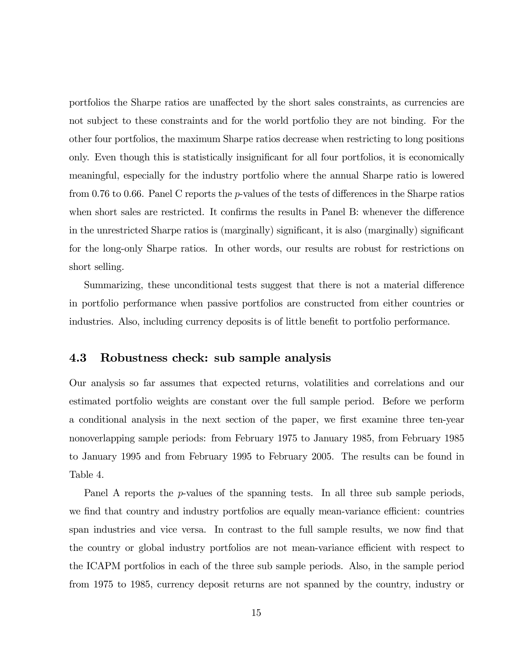portfolios the Sharpe ratios are unaffected by the short sales constraints, as currencies are not subject to these constraints and for the world portfolio they are not binding. For the other four portfolios, the maximum Sharpe ratios decrease when restricting to long positions only. Even though this is statistically insignificant for all four portfolios, it is economically meaningful, especially for the industry portfolio where the annual Sharpe ratio is lowered from 0.76 to 0.66. Panel C reports the  $p$ -values of the tests of differences in the Sharpe ratios when short sales are restricted. It confirms the results in Panel B: whenever the difference in the unrestricted Sharpe ratios is (marginally) significant, it is also (marginally) significant for the long-only Sharpe ratios. In other words, our results are robust for restrictions on short selling.

Summarizing, these unconditional tests suggest that there is not a material difference in portfolio performance when passive portfolios are constructed from either countries or industries. Also, including currency deposits is of little benefit to portfolio performance.

#### 4.3 Robustness check: sub sample analysis

Our analysis so far assumes that expected returns, volatilities and correlations and our estimated portfolio weights are constant over the full sample period. Before we perform a conditional analysis in the next section of the paper, we first examine three ten-year nonoverlapping sample periods: from February 1975 to January 1985, from February 1985 to January 1995 and from February 1995 to February 2005. The results can be found in Table 4.

Panel A reports the p-values of the spanning tests. In all three sub sample periods, we find that country and industry portfolios are equally mean-variance efficient: countries span industries and vice versa. In contrast to the full sample results, we now find that the country or global industry portfolios are not mean-variance efficient with respect to the ICAPM portfolios in each of the three sub sample periods. Also, in the sample period from 1975 to 1985, currency deposit returns are not spanned by the country, industry or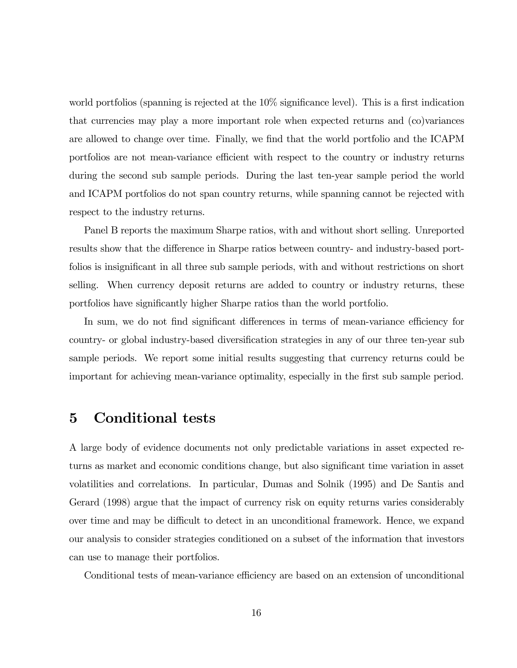world portfolios (spanning is rejected at the 10% significance level). This is a first indication that currencies may play a more important role when expected returns and (co)variances are allowed to change over time. Finally, we find that the world portfolio and the ICAPM portfolios are not mean-variance efficient with respect to the country or industry returns during the second sub sample periods. During the last ten-year sample period the world and ICAPM portfolios do not span country returns, while spanning cannot be rejected with respect to the industry returns.

Panel B reports the maximum Sharpe ratios, with and without short selling. Unreported results show that the difference in Sharpe ratios between country- and industry-based portfolios is insignificant in all three sub sample periods, with and without restrictions on short selling. When currency deposit returns are added to country or industry returns, these portfolios have significantly higher Sharpe ratios than the world portfolio.

In sum, we do not find significant differences in terms of mean-variance efficiency for country- or global industry-based diversification strategies in any of our three ten-year sub sample periods. We report some initial results suggesting that currency returns could be important for achieving mean-variance optimality, especially in the first sub sample period.

## 5 Conditional tests

A large body of evidence documents not only predictable variations in asset expected returns as market and economic conditions change, but also significant time variation in asset volatilities and correlations. In particular, Dumas and Solnik (1995) and De Santis and Gerard (1998) argue that the impact of currency risk on equity returns varies considerably over time and may be difficult to detect in an unconditional framework. Hence, we expand our analysis to consider strategies conditioned on a subset of the information that investors can use to manage their portfolios.

Conditional tests of mean-variance efficiency are based on an extension of unconditional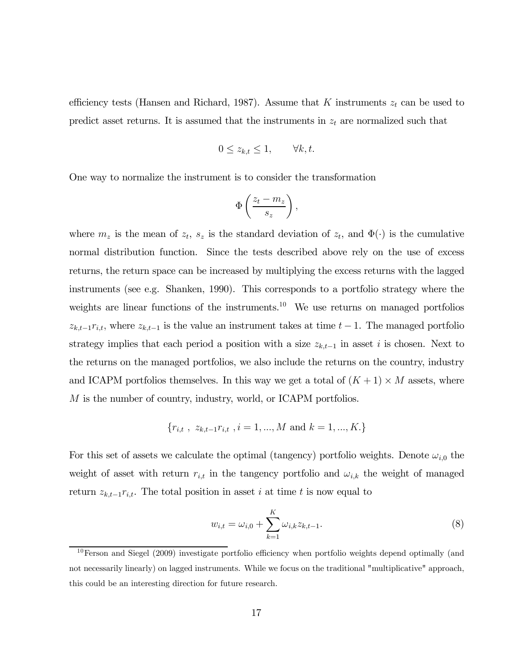efficiency tests (Hansen and Richard, 1987). Assume that K instruments  $z_t$  can be used to predict asset returns. It is assumed that the instruments in  $z_t$  are normalized such that

$$
0 \le z_{k,t} \le 1, \qquad \forall k, t.
$$

One way to normalize the instrument is to consider the transformation

$$
\Phi\left(\frac{z_t - m_z}{s_z}\right),\,
$$

where  $m_z$  is the mean of  $z_t$ ,  $s_z$  is the standard deviation of  $z_t$ , and  $\Phi(\cdot)$  is the cumulative normal distribution function. Since the tests described above rely on the use of excess returns, the return space can be increased by multiplying the excess returns with the lagged instruments (see e.g. Shanken, 1990). This corresponds to a portfolio strategy where the weights are linear functions of the instruments.<sup>10</sup> We use returns on managed portfolios  $z_{k,t-1}r_{i,t}$ , where  $z_{k,t-1}$  is the value an instrument takes at time  $t-1$ . The managed portfolio strategy implies that each period a position with a size  $z_{k,t-1}$  in asset i is chosen. Next to the returns on the managed portfolios, we also include the returns on the country, industry and ICAPM portfolios themselves. In this way we get a total of  $(K + 1) \times M$  assets, where M is the number of country, industry, world, or ICAPM portfolios.

$$
\{r_{i,t}, z_{k,t-1}r_{i,t}, i=1,...,M \text{ and } k=1,...,K.\}
$$

For this set of assets we calculate the optimal (tangency) portfolio weights. Denote  $\omega_{i,0}$  the weight of asset with return  $r_{i,t}$  in the tangency portfolio and  $\omega_{i,k}$  the weight of managed return  $z_{k,t-1}r_{i,t}$ . The total position in asset i at time t is now equal to

$$
w_{i,t} = \omega_{i,0} + \sum_{k=1}^{K} \omega_{i,k} z_{k,t-1}.
$$
\n(8)

 $10$ Ferson and Siegel (2009) investigate portfolio efficiency when portfolio weights depend optimally (and not necessarily linearly) on lagged instruments. While we focus on the traditional "multiplicative" approach, this could be an interesting direction for future research.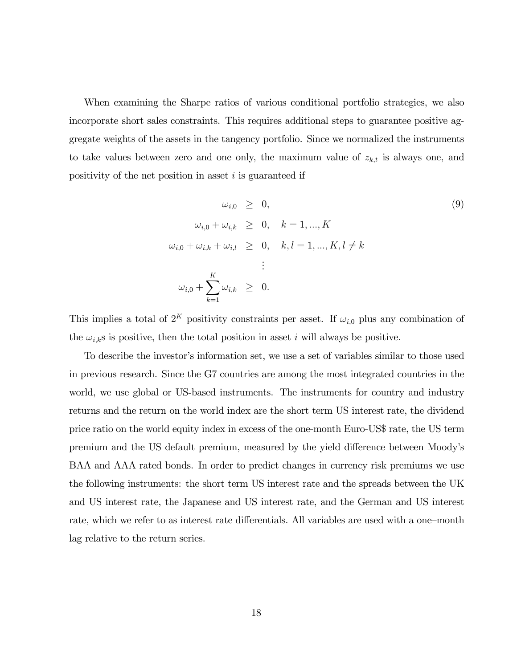When examining the Sharpe ratios of various conditional portfolio strategies, we also incorporate short sales constraints. This requires additional steps to guarantee positive aggregate weights of the assets in the tangency portfolio. Since we normalized the instruments to take values between zero and one only, the maximum value of  $z_{k,t}$  is always one, and positivity of the net position in asset  $i$  is guaranteed if

$$
\omega_{i,0} \geq 0,
$$
\n
$$
\omega_{i,0} + \omega_{i,k} \geq 0, \quad k = 1, ..., K
$$
\n
$$
\omega_{i,0} + \omega_{i,k} + \omega_{i,l} \geq 0, \quad k, l = 1, ..., K, l \neq k
$$
\n
$$
\vdots
$$
\n
$$
\omega_{i,0} + \sum_{k=1}^{K} \omega_{i,k} \geq 0.
$$
\n(9)

This implies a total of  $2^K$  positivity constraints per asset. If  $\omega_{i,0}$  plus any combination of the  $\omega_{i,k}$ s is positive, then the total position in asset i will always be positive.

To describe the investor's information set, we use a set of variables similar to those used in previous research. Since the G7 countries are among the most integrated countries in the world, we use global or US-based instruments. The instruments for country and industry returns and the return on the world index are the short term US interest rate, the dividend price ratio on the world equity index in excess of the one-month Euro-US\$ rate, the US term premium and the US default premium, measured by the yield difference between Moody's BAA and AAA rated bonds. In order to predict changes in currency risk premiums we use the following instruments: the short term US interest rate and the spreads between the UK and US interest rate, the Japanese and US interest rate, and the German and US interest rate, which we refer to as interest rate differentials. All variables are used with a one—month lag relative to the return series.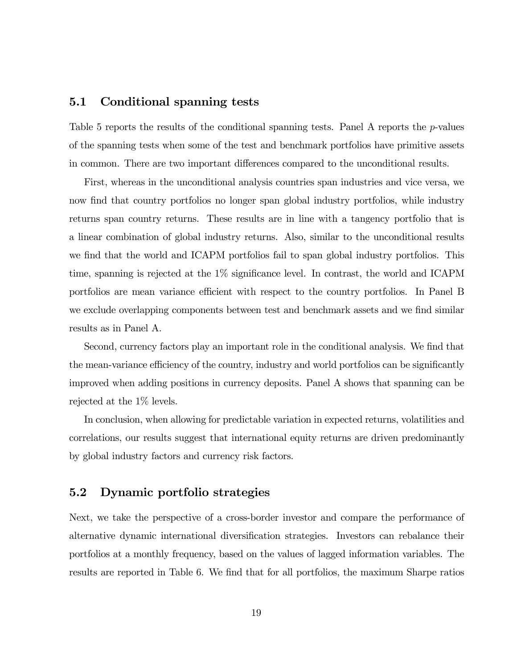#### 5.1 Conditional spanning tests

Table 5 reports the results of the conditional spanning tests. Panel  $\Lambda$  reports the p-values of the spanning tests when some of the test and benchmark portfolios have primitive assets in common. There are two important differences compared to the unconditional results.

First, whereas in the unconditional analysis countries span industries and vice versa, we now find that country portfolios no longer span global industry portfolios, while industry returns span country returns. These results are in line with a tangency portfolio that is a linear combination of global industry returns. Also, similar to the unconditional results we find that the world and ICAPM portfolios fail to span global industry portfolios. This time, spanning is rejected at the 1% significance level. In contrast, the world and ICAPM portfolios are mean variance efficient with respect to the country portfolios. In Panel B we exclude overlapping components between test and benchmark assets and we find similar results as in Panel A.

Second, currency factors play an important role in the conditional analysis. We find that the mean-variance efficiency of the country, industry and world portfolios can be significantly improved when adding positions in currency deposits. Panel A shows that spanning can be rejected at the 1% levels.

In conclusion, when allowing for predictable variation in expected returns, volatilities and correlations, our results suggest that international equity returns are driven predominantly by global industry factors and currency risk factors.

## 5.2 Dynamic portfolio strategies

Next, we take the perspective of a cross-border investor and compare the performance of alternative dynamic international diversification strategies. Investors can rebalance their portfolios at a monthly frequency, based on the values of lagged information variables. The results are reported in Table 6. We find that for all portfolios, the maximum Sharpe ratios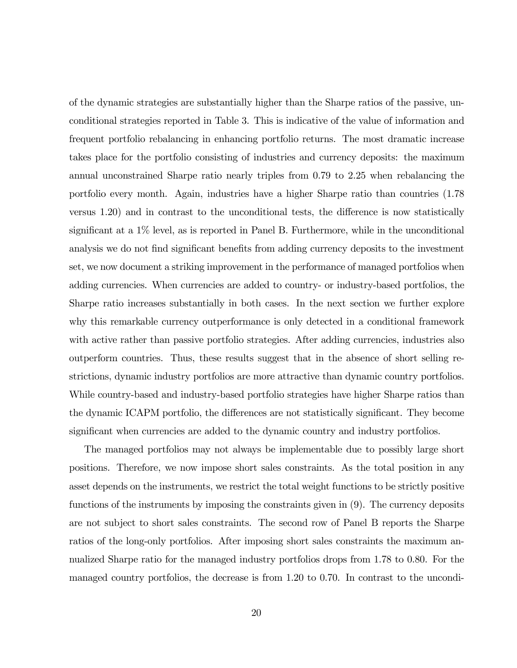of the dynamic strategies are substantially higher than the Sharpe ratios of the passive, unconditional strategies reported in Table 3. This is indicative of the value of information and frequent portfolio rebalancing in enhancing portfolio returns. The most dramatic increase takes place for the portfolio consisting of industries and currency deposits: the maximum annual unconstrained Sharpe ratio nearly triples from 0.79 to 2.25 when rebalancing the portfolio every month. Again, industries have a higher Sharpe ratio than countries (1.78 versus 1.20) and in contrast to the unconditional tests, the difference is now statistically significant at a 1% level, as is reported in Panel B. Furthermore, while in the unconditional analysis we do not find significant benefits from adding currency deposits to the investment set, we now document a striking improvement in the performance of managed portfolios when adding currencies. When currencies are added to country- or industry-based portfolios, the Sharpe ratio increases substantially in both cases. In the next section we further explore why this remarkable currency outperformance is only detected in a conditional framework with active rather than passive portfolio strategies. After adding currencies, industries also outperform countries. Thus, these results suggest that in the absence of short selling restrictions, dynamic industry portfolios are more attractive than dynamic country portfolios. While country-based and industry-based portfolio strategies have higher Sharpe ratios than the dynamic ICAPM portfolio, the differences are not statistically significant. They become significant when currencies are added to the dynamic country and industry portfolios.

The managed portfolios may not always be implementable due to possibly large short positions. Therefore, we now impose short sales constraints. As the total position in any asset depends on the instruments, we restrict the total weight functions to be strictly positive functions of the instruments by imposing the constraints given in (9). The currency deposits are not subject to short sales constraints. The second row of Panel B reports the Sharpe ratios of the long-only portfolios. After imposing short sales constraints the maximum annualized Sharpe ratio for the managed industry portfolios drops from 1.78 to 0.80. For the managed country portfolios, the decrease is from 1.20 to 0.70. In contrast to the uncondi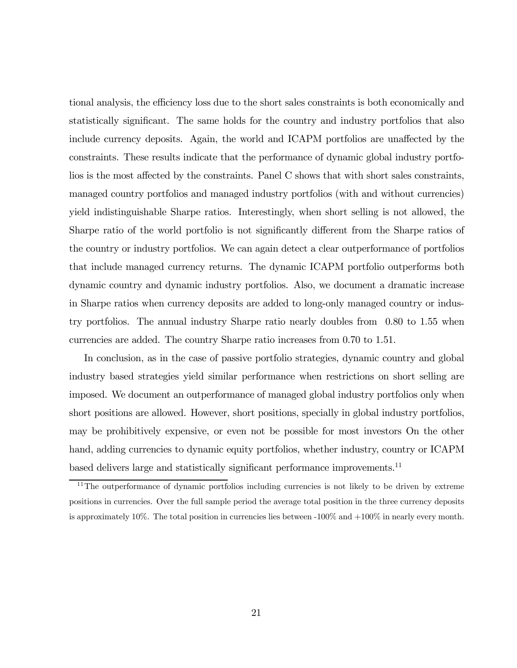tional analysis, the efficiency loss due to the short sales constraints is both economically and statistically significant. The same holds for the country and industry portfolios that also include currency deposits. Again, the world and ICAPM portfolios are unaffected by the constraints. These results indicate that the performance of dynamic global industry portfolios is the most affected by the constraints. Panel C shows that with short sales constraints, managed country portfolios and managed industry portfolios (with and without currencies) yield indistinguishable Sharpe ratios. Interestingly, when short selling is not allowed, the Sharpe ratio of the world portfolio is not significantly different from the Sharpe ratios of the country or industry portfolios. We can again detect a clear outperformance of portfolios that include managed currency returns. The dynamic ICAPM portfolio outperforms both dynamic country and dynamic industry portfolios. Also, we document a dramatic increase in Sharpe ratios when currency deposits are added to long-only managed country or industry portfolios. The annual industry Sharpe ratio nearly doubles from 0.80 to 1.55 when currencies are added. The country Sharpe ratio increases from 0.70 to 1.51.

In conclusion, as in the case of passive portfolio strategies, dynamic country and global industry based strategies yield similar performance when restrictions on short selling are imposed. We document an outperformance of managed global industry portfolios only when short positions are allowed. However, short positions, specially in global industry portfolios, may be prohibitively expensive, or even not be possible for most investors On the other hand, adding currencies to dynamic equity portfolios, whether industry, country or ICAPM based delivers large and statistically significant performance improvements.<sup>11</sup>

<sup>&</sup>lt;sup>11</sup>The outperformance of dynamic portfolios including currencies is not likely to be driven by extreme positions in currencies. Over the full sample period the average total position in the three currency deposits is approximately 10%. The total position in currencies lies between  $-100\%$  and  $+100\%$  in nearly every month.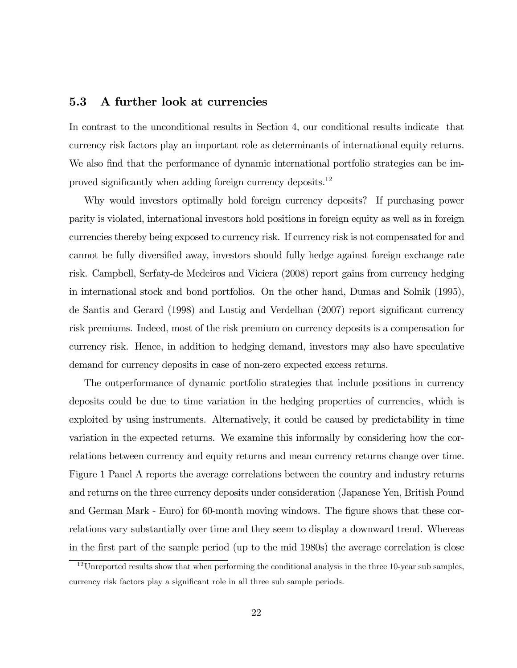#### 5.3 A further look at currencies

In contrast to the unconditional results in Section 4, our conditional results indicate that currency risk factors play an important role as determinants of international equity returns. We also find that the performance of dynamic international portfolio strategies can be improved significantly when adding foreign currency deposits.<sup>12</sup>

Why would investors optimally hold foreign currency deposits? If purchasing power parity is violated, international investors hold positions in foreign equity as well as in foreign currencies thereby being exposed to currency risk. If currency risk is not compensated for and cannot be fully diversified away, investors should fully hedge against foreign exchange rate risk. Campbell, Serfaty-de Medeiros and Viciera (2008) report gains from currency hedging in international stock and bond portfolios. On the other hand, Dumas and Solnik (1995), de Santis and Gerard (1998) and Lustig and Verdelhan (2007) report significant currency risk premiums. Indeed, most of the risk premium on currency deposits is a compensation for currency risk. Hence, in addition to hedging demand, investors may also have speculative demand for currency deposits in case of non-zero expected excess returns.

The outperformance of dynamic portfolio strategies that include positions in currency deposits could be due to time variation in the hedging properties of currencies, which is exploited by using instruments. Alternatively, it could be caused by predictability in time variation in the expected returns. We examine this informally by considering how the correlations between currency and equity returns and mean currency returns change over time. Figure 1 Panel A reports the average correlations between the country and industry returns and returns on the three currency deposits under consideration (Japanese Yen, British Pound and German Mark - Euro) for 60-month moving windows. The figure shows that these correlations vary substantially over time and they seem to display a downward trend. Whereas in the first part of the sample period (up to the mid 1980s) the average correlation is close

 $12$ Unreported results show that when performing the conditional analysis in the three 10-year sub samples, currency risk factors play a significant role in all three sub sample periods.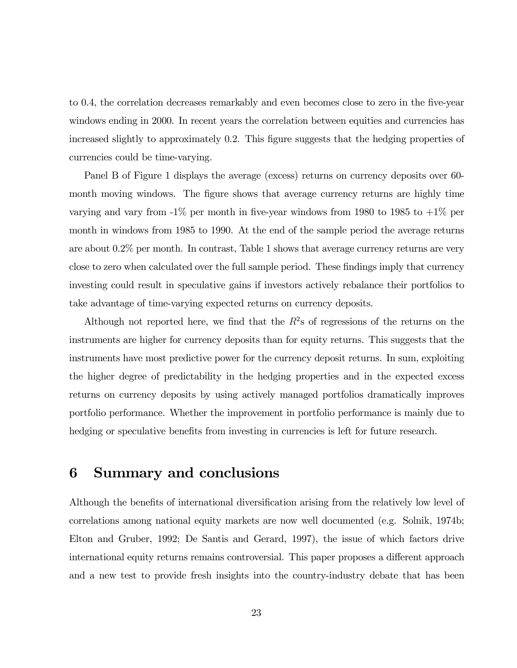to 0.4, the correlation decreases remarkably and even becomes close to zero in the five-year windows ending in 2000. In recent years the correlation between equities and currencies has increased slightly to approximately 0.2. This figure suggests that the hedging properties of currencies could be time-varying.

Panel B of Figure 1 displays the average (excess) returns on currency deposits over 60 month moving windows. The figure shows that average currency returns are highly time varying and vary from  $-1\%$  per month in five-year windows from 1980 to 1985 to  $+1\%$  per month in windows from 1985 to 1990. At the end of the sample period the average returns are about 0.2% per month. In contrast, Table 1 shows that average currency returns are very close to zero when calculated over the full sample period. These findings imply that currency investing could result in speculative gains if investors actively rebalance their portfolios to take advantage of time-varying expected returns on currency deposits.

Although not reported here, we find that the  $R^2$ s of regressions of the returns on the instruments are higher for currency deposits than for equity returns. This suggests that the instruments have most predictive power for the currency deposit returns. In sum, exploiting the higher degree of predictability in the hedging properties and in the expected excess returns on currency deposits by using actively managed portfolios dramatically improves portfolio performance. Whether the improvement in portfolio performance is mainly due to hedging or speculative benefits from investing in currencies is left for future research.

## 6 Summary and conclusions

Although the benefits of international diversification arising from the relatively low level of correlations among national equity markets are now well documented (e.g. Solnik, 1974b; Elton and Gruber, 1992; De Santis and Gerard, 1997), the issue of which factors drive international equity returns remains controversial. This paper proposes a different approach and a new test to provide fresh insights into the country-industry debate that has been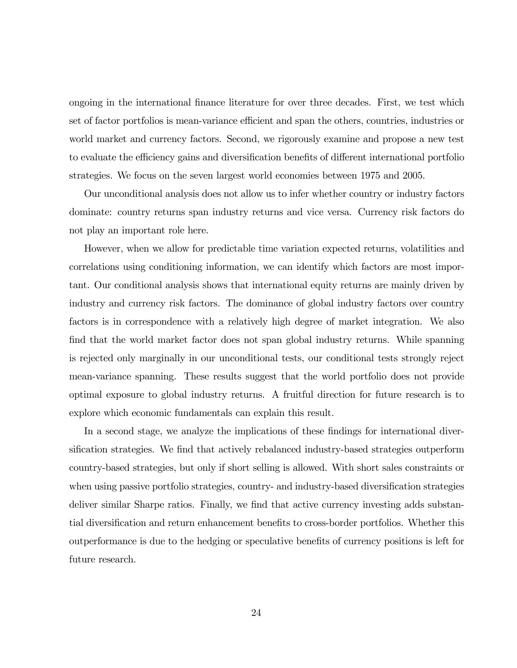ongoing in the international finance literature for over three decades. First, we test which set of factor portfolios is mean-variance efficient and span the others, countries, industries or world market and currency factors. Second, we rigorously examine and propose a new test to evaluate the efficiency gains and diversification benefits of different international portfolio strategies. We focus on the seven largest world economies between 1975 and 2005.

Our unconditional analysis does not allow us to infer whether country or industry factors dominate: country returns span industry returns and vice versa. Currency risk factors do not play an important role here.

However, when we allow for predictable time variation expected returns, volatilities and correlations using conditioning information, we can identify which factors are most important. Our conditional analysis shows that international equity returns are mainly driven by industry and currency risk factors. The dominance of global industry factors over country factors is in correspondence with a relatively high degree of market integration. We also find that the world market factor does not span global industry returns. While spanning is rejected only marginally in our unconditional tests, our conditional tests strongly reject mean-variance spanning. These results suggest that the world portfolio does not provide optimal exposure to global industry returns. A fruitful direction for future research is to explore which economic fundamentals can explain this result.

In a second stage, we analyze the implications of these findings for international diversification strategies. We find that actively rebalanced industry-based strategies outperform country-based strategies, but only if short selling is allowed. With short sales constraints or when using passive portfolio strategies, country- and industry-based diversification strategies deliver similar Sharpe ratios. Finally, we find that active currency investing adds substantial diversification and return enhancement benefits to cross-border portfolios. Whether this outperformance is due to the hedging or speculative benefits of currency positions is left for future research.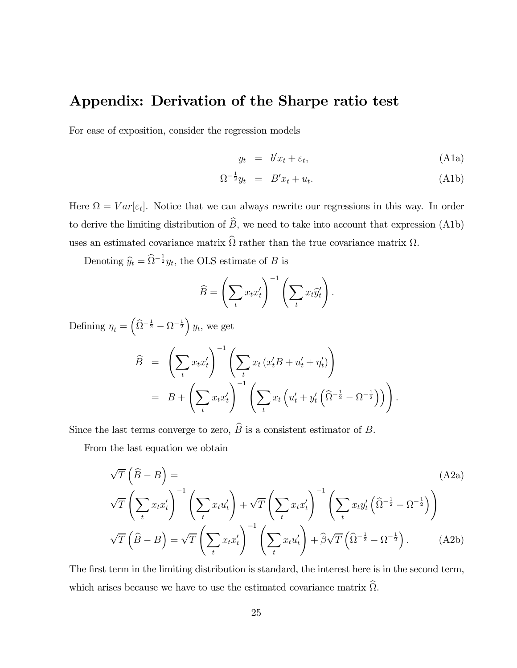## Appendix: Derivation of the Sharpe ratio test

For ease of exposition, consider the regression models

$$
y_t = b'x_t + \varepsilon_t, \tag{A1a}
$$

$$
\Omega^{-\frac{1}{2}}y_t = B'x_t + u_t. \tag{A1b}
$$

Here  $\Omega = Var[\varepsilon_t]$ . Notice that we can always rewrite our regressions in this way. In order to derive the limiting distribution of  $\widehat{B}$ , we need to take into account that expression (A1b) uses an estimated covariance matrix  $\widehat{\Omega}$  rather than the true covariance matrix  $\Omega$ .

Denoting  $\hat{y}_t = \hat{\Omega}^{-\frac{1}{2}} y_t$ , the OLS estimate of B is

$$
\widehat{B} = \left(\sum_t x_t x_t'\right)^{-1} \left(\sum_t x_t \widehat{y}_t'\right).
$$

Defining  $\eta_t = \left(\widehat{\Omega}^{-\frac{1}{2}} - \Omega^{-\frac{1}{2}}\right) y_t$ , we get

$$
\widehat{B} = \left(\sum_t x_t x_t'\right)^{-1} \left(\sum_t x_t \left(x_t'B + u_t' + \eta_t'\right)\right)
$$
\n
$$
= B + \left(\sum_t x_t x_t'\right)^{-1} \left(\sum_t x_t \left(u_t' + y_t' \left(\widehat{\Omega}^{-\frac{1}{2}} - \Omega^{-\frac{1}{2}}\right)\right)\right).
$$

Since the last terms converge to zero,  $\widehat{B}$  is a consistent estimator of B.

From the last equation we obtain

$$
\sqrt{T}\left(\widehat{B}-B\right) =
$$
\n
$$
\sqrt{T}\left(\sum_{t} x_{t} x_{t}'\right)^{-1} \left(\sum_{t} x_{t} u_{t}'\right) + \sqrt{T}\left(\sum_{t} x_{t} x_{t}'\right)^{-1} \left(\sum_{t} x_{t} y_{t}' \left(\widehat{\Omega}^{-\frac{1}{2}} - \Omega^{-\frac{1}{2}}\right)\right)
$$
\n
$$
\sqrt{T}\left(\widehat{B}-B\right) = \sqrt{T}\left(\sum_{t} x_{t} x_{t}'\right)^{-1} \left(\sum_{t} x_{t} u_{t}'\right) + \widehat{\beta}\sqrt{T}\left(\widehat{\Omega}^{-\frac{1}{2}} - \Omega^{-\frac{1}{2}}\right).
$$
\n(A2b)

The first term in the limiting distribution is standard, the interest here is in the second term, which arises because we have to use the estimated covariance matrix  $\widehat{\Omega}$ .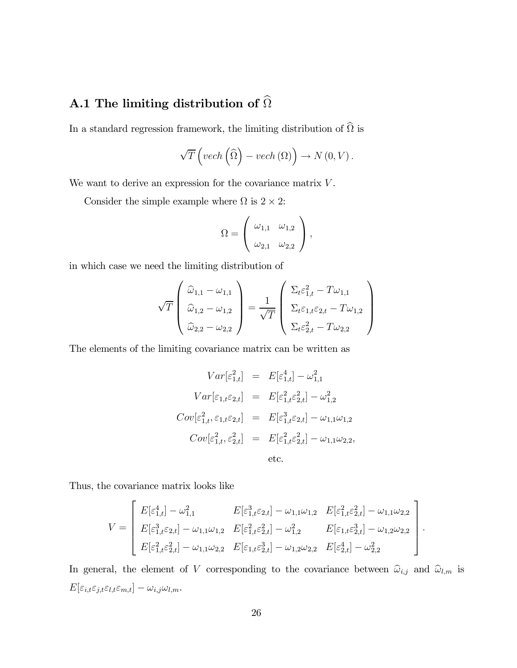## A.1 The limiting distribution of  $\widehat{\Omega}$

In a standard regression framework, the limiting distribution of  $\widehat{\Omega}$  is

$$
\sqrt{T}\left(\text{vech}\left(\widehat{\Omega}\right)-\text{vech}\left(\Omega\right)\right)\to N\left(0,V\right).
$$

We want to derive an expression for the covariance matrix  $V$ .

Consider the simple example where  $\Omega$  is  $2 \times 2$ :

$$
\Omega = \left(\begin{array}{cc} \omega_{1,1} & \omega_{1,2} \\ \omega_{2,1} & \omega_{2,2} \end{array}\right),
$$

in which case we need the limiting distribution of

$$
\sqrt{T}\begin{pmatrix}\n\widehat{\omega}_{1,1} - \omega_{1,1} \\
\widehat{\omega}_{1,2} - \omega_{1,2} \\
\widehat{\omega}_{2,2} - \omega_{2,2}\n\end{pmatrix} = \frac{1}{\sqrt{T}}\begin{pmatrix}\n\Sigma_t \varepsilon_{1,t}^2 - T\omega_{1,1} \\
\Sigma_t \varepsilon_{1,t} \varepsilon_{2,t} - T\omega_{1,2} \\
\Sigma_t \varepsilon_{2,t}^2 - T\omega_{2,2}\n\end{pmatrix}
$$

The elements of the limiting covariance matrix can be written as

$$
Var[\varepsilon_{1,t}^2] = E[\varepsilon_{1,t}^4] - \omega_{1,1}^2
$$
  
\n
$$
Var[\varepsilon_{1,t}\varepsilon_{2,t}] = E[\varepsilon_{1,t}^2 \varepsilon_{2,t}^2] - \omega_{1,2}^2
$$
  
\n
$$
Cov[\varepsilon_{1,t}^2, \varepsilon_{1,t}\varepsilon_{2,t}] = E[\varepsilon_{1,t}^3 \varepsilon_{2,t}] - \omega_{1,1}\omega_{1,2}
$$
  
\n
$$
Cov[\varepsilon_{1,t}^2, \varepsilon_{2,t}^2] = E[\varepsilon_{1,t}^2 \varepsilon_{2,t}^2] - \omega_{1,1}\omega_{2,2},
$$
  
\netc.

Thus, the covariance matrix looks like

$$
V = \begin{bmatrix} E[\varepsilon_{1,t}^4] - \omega_{1,1}^2 & E[\varepsilon_{1,t}^3 \varepsilon_{2,t}] - \omega_{1,1} \omega_{1,2} & E[\varepsilon_{1,t}^2 \varepsilon_{2,t}^2] - \omega_{1,1} \omega_{2,2} \\ E[\varepsilon_{1,t}^3 \varepsilon_{2,t}] - \omega_{1,1} \omega_{1,2} & E[\varepsilon_{1,t}^2 \varepsilon_{2,t}^2] - \omega_{1,2}^2 & E[\varepsilon_{1,t} \varepsilon_{2,t}^3] - \omega_{1,2} \omega_{2,2} \\ E[\varepsilon_{1,t}^2 \varepsilon_{2,t}^2] - \omega_{1,1} \omega_{2,2} & E[\varepsilon_{1,t} \varepsilon_{2,t}^3] - \omega_{1,2} \omega_{2,2} & E[\varepsilon_{2,t}^4] - \omega_{2,2}^2 \end{bmatrix}.
$$

In general, the element of V corresponding to the covariance between  $\widehat{\omega}_{i,j}$  and  $\widehat{\omega}_{l,m}$  is  $E[\varepsilon_{i,t}\varepsilon_{j,t}\varepsilon_{l,t}\varepsilon_{m,t}]-\omega_{i,j}\omega_{l,m}.$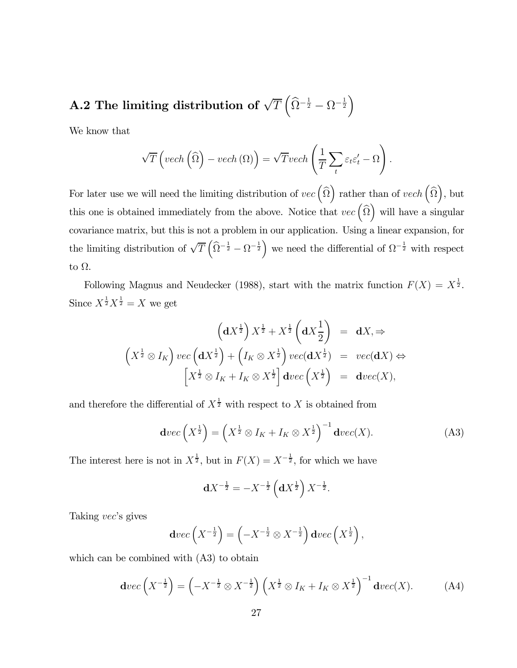# A.2 The limiting distribution of  $\sqrt{T}\left(\widehat{\Omega}^{-\frac{1}{2}}-\Omega^{-\frac{1}{2}}\right)$

We know that

$$
\sqrt{T}\left(\text{vech}\left(\widehat{\Omega}\right) - \text{vech}\left(\Omega\right)\right) = \sqrt{T}\text{vech}\left(\frac{1}{T}\sum_{t} \varepsilon_t \varepsilon'_t - \Omega\right).
$$

For later use we will need the limiting distribution of  $vec(\hat{\Omega})$  rather than of  $vech(\hat{\Omega})$ , but this one is obtained immediately from the above. Notice that  $vec(\hat{\Omega})$  will have a singular covariance matrix, but this is not a problem in our application. Using a linear expansion, for the limiting distribution of  $\sqrt{T}\left(\widehat{\Omega}^{-\frac{1}{2}} - \Omega^{-\frac{1}{2}}\right)$  we need the differential of  $\Omega^{-\frac{1}{2}}$  with respect to Ω.

Following Magnus and Neudecker (1988), start with the matrix function  $F(X) = X^{\frac{1}{2}}$ . Since  $X^{\frac{1}{2}}X^{\frac{1}{2}} = X$  we get

$$
\left(\mathbf{d}X^{\frac{1}{2}}\right)X^{\frac{1}{2}} + X^{\frac{1}{2}}\left(\mathbf{d}X^{\frac{1}{2}}\right) = \mathbf{d}X, \Rightarrow
$$
\n
$$
\left(X^{\frac{1}{2}} \otimes I_K\right) \operatorname{vec}\left(\mathbf{d}X^{\frac{1}{2}}\right) + \left(I_K \otimes X^{\frac{1}{2}}\right) \operatorname{vec}(\mathbf{d}X^{\frac{1}{2}}) = \operatorname{vec}(\mathbf{d}X) \Leftrightarrow
$$
\n
$$
\left[X^{\frac{1}{2}} \otimes I_K + I_K \otimes X^{\frac{1}{2}}\right] \operatorname{d}\operatorname{vec}\left(X^{\frac{1}{2}}\right) = \operatorname{d}\operatorname{vec}(X),
$$

and therefore the differential of  $X^{\frac{1}{2}}$  with respect to X is obtained from

$$
\mathbf{d}vec\left(X^{\frac{1}{2}}\right) = \left(X^{\frac{1}{2}} \otimes I_K + I_K \otimes X^{\frac{1}{2}}\right)^{-1} \mathbf{d}vec(X). \tag{A3}
$$

The interest here is not in  $X^{\frac{1}{2}}$ , but in  $F(X) = X^{-\frac{1}{2}}$ , for which we have

$$
\mathbf{d}X^{-\frac{1}{2}} = -X^{-\frac{1}{2}} \left( \mathbf{d}X^{\frac{1}{2}} \right) X^{-\frac{1}{2}}.
$$

Taking vec's gives

$$
\mathbf{d}vec\left(X^{-\frac{1}{2}}\right) = \left(-X^{-\frac{1}{2}} \otimes X^{-\frac{1}{2}}\right)\mathbf{d}vec\left(X^{\frac{1}{2}}\right),\,
$$

which can be combined with (A3) to obtain

$$
\operatorname{dvec}\left(X^{-\frac{1}{2}}\right) = \left(-X^{-\frac{1}{2}} \otimes X^{-\frac{1}{2}}\right) \left(X^{\frac{1}{2}} \otimes I_K + I_K \otimes X^{\frac{1}{2}}\right)^{-1} \operatorname{dvec}(X). \tag{A4}
$$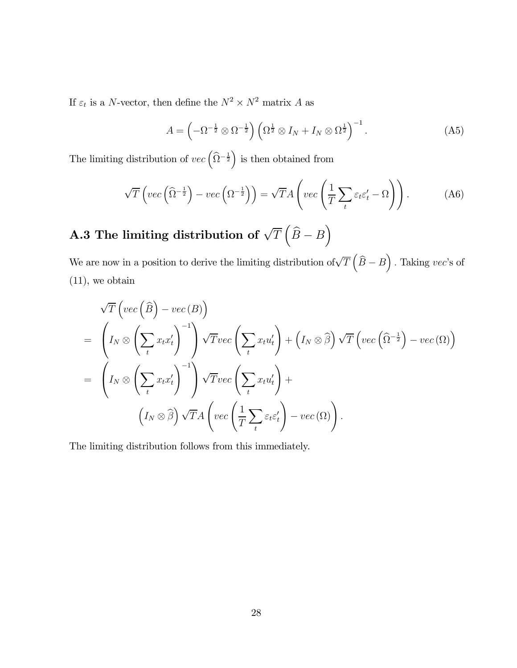If  $\varepsilon_t$  is a  $N\text{-vector},$  then define the  $N^2\times N^2$  matrix  $A$  as

$$
A = \left(-\Omega^{-\frac{1}{2}} \otimes \Omega^{-\frac{1}{2}}\right) \left(\Omega^{\frac{1}{2}} \otimes I_N + I_N \otimes \Omega^{\frac{1}{2}}\right)^{-1}.
$$
 (A5)

The limiting distribution of  $vec\left(\widehat{\Omega}^{-\frac{1}{2}}\right)$  is then obtained from

$$
\sqrt{T}\left(vec\left(\widehat{\Omega}^{-\frac{1}{2}}\right) - vec\left(\Omega^{-\frac{1}{2}}\right)\right) = \sqrt{T}A\left(vec\left(\frac{1}{T}\sum_{t} \varepsilon_t \varepsilon_t' - \Omega\right)\right). \tag{A6}
$$

# A.3 The limiting distribution of  $\sqrt{T}\left(\widehat{B}-B\right)$

We are now in a position to derive the limiting distribution of  $\sqrt{T}(\widehat{B}-B)$ . Taking vec's of (11), we obtain

$$
\sqrt{T}\left(vec\left(\widehat{B}\right)-vec\left(B\right)\right)
$$
\n
$$
= \left(I_N \otimes \left(\sum_t x_t x_t'\right)^{-1}\right) \sqrt{T}vec\left(\sum_t x_t u_t'\right) + \left(I_N \otimes \widehat{\beta}\right) \sqrt{T}\left(vec\left(\widehat{\Omega}^{-\frac{1}{2}}\right)-vec\left(\Omega\right)\right)
$$
\n
$$
= \left(I_N \otimes \left(\sum_t x_t x_t'\right)^{-1}\right) \sqrt{T}vec\left(\sum_t x_t u_t'\right) + \left(I_N \otimes \widehat{\beta}\right) \sqrt{T}A\left(vec\left(\frac{1}{T}\sum_t \varepsilon_t \varepsilon_t'\right)-vec\left(\Omega\right)\right).
$$

The limiting distribution follows from this immediately.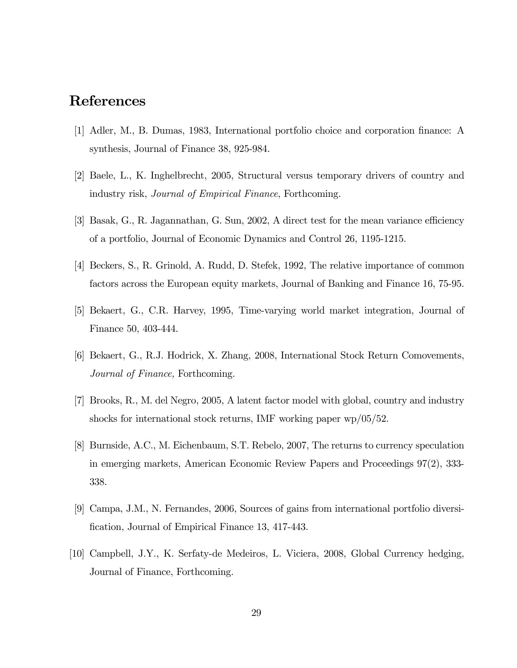## References

- [1] Adler, M., B. Dumas, 1983, International portfolio choice and corporation finance: A synthesis, Journal of Finance 38, 925-984.
- [2] Baele, L., K. Inghelbrecht, 2005, Structural versus temporary drivers of country and industry risk, Journal of Empirical Finance, Forthcoming.
- [3] Basak, G., R. Jagannathan, G. Sun, 2002, A direct test for the mean variance efficiency of a portfolio, Journal of Economic Dynamics and Control 26, 1195-1215.
- [4] Beckers, S., R. Grinold, A. Rudd, D. Stefek, 1992, The relative importance of common factors across the European equity markets, Journal of Banking and Finance 16, 75-95.
- [5] Bekaert, G., C.R. Harvey, 1995, Time-varying world market integration, Journal of Finance 50, 403-444.
- [6] Bekaert, G., R.J. Hodrick, X. Zhang, 2008, International Stock Return Comovements, Journal of Finance, Forthcoming.
- [7] Brooks, R., M. del Negro, 2005, A latent factor model with global, country and industry shocks for international stock returns, IMF working paper wp/05/52.
- [8] Burnside, A.C., M. Eichenbaum, S.T. Rebelo, 2007, The returns to currency speculation in emerging markets, American Economic Review Papers and Proceedings 97(2), 333- 338.
- [9] Campa, J.M., N. Fernandes, 2006, Sources of gains from international portfolio diversification, Journal of Empirical Finance 13, 417-443.
- [10] Campbell, J.Y., K. Serfaty-de Medeiros, L. Viciera, 2008, Global Currency hedging, Journal of Finance, Forthcoming.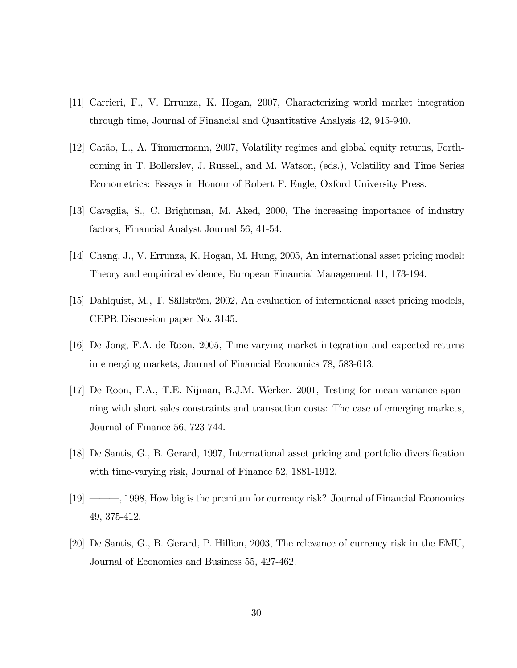- [11] Carrieri, F., V. Errunza, K. Hogan, 2007, Characterizing world market integration through time, Journal of Financial and Quantitative Analysis 42, 915-940.
- [12] Catão, L., A. Timmermann, 2007, Volatility regimes and global equity returns, Forthcoming in T. Bollerslev, J. Russell, and M. Watson, (eds.), Volatility and Time Series Econometrics: Essays in Honour of Robert F. Engle, Oxford University Press.
- [13] Cavaglia, S., C. Brightman, M. Aked, 2000, The increasing importance of industry factors, Financial Analyst Journal 56, 41-54.
- [14] Chang, J., V. Errunza, K. Hogan, M. Hung, 2005, An international asset pricing model: Theory and empirical evidence, European Financial Management 11, 173-194.
- [15] Dahlquist, M., T. Sällström, 2002, An evaluation of international asset pricing models, CEPR Discussion paper No. 3145.
- [16] De Jong, F.A. de Roon, 2005, Time-varying market integration and expected returns in emerging markets, Journal of Financial Economics 78, 583-613.
- [17] De Roon, F.A., T.E. Nijman, B.J.M. Werker, 2001, Testing for mean-variance spanning with short sales constraints and transaction costs: The case of emerging markets, Journal of Finance 56, 723-744.
- [18] De Santis, G., B. Gerard, 1997, International asset pricing and portfolio diversification with time-varying risk, Journal of Finance 52, 1881-1912.
- [19] –––, 1998, How big is the premium for currency risk? Journal of Financial Economics 49, 375-412.
- [20] De Santis, G., B. Gerard, P. Hillion, 2003, The relevance of currency risk in the EMU, Journal of Economics and Business 55, 427-462.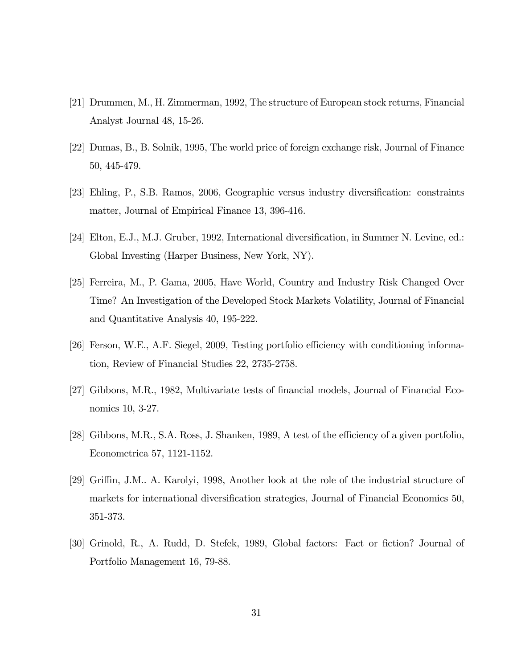- [21] Drummen, M., H. Zimmerman, 1992, The structure of European stock returns, Financial Analyst Journal 48, 15-26.
- [22] Dumas, B., B. Solnik, 1995, The world price of foreign exchange risk, Journal of Finance 50, 445-479.
- [23] Ehling, P., S.B. Ramos, 2006, Geographic versus industry diversification: constraints matter, Journal of Empirical Finance 13, 396-416.
- [24] Elton, E.J., M.J. Gruber, 1992, International diversification, in Summer N. Levine, ed.: Global Investing (Harper Business, New York, NY).
- [25] Ferreira, M., P. Gama, 2005, Have World, Country and Industry Risk Changed Over Time? An Investigation of the Developed Stock Markets Volatility, Journal of Financial and Quantitative Analysis 40, 195-222.
- [26] Ferson, W.E., A.F. Siegel, 2009, Testing portfolio efficiency with conditioning information, Review of Financial Studies 22, 2735-2758.
- [27] Gibbons, M.R., 1982, Multivariate tests of financial models, Journal of Financial Economics 10, 3-27.
- [28] Gibbons, M.R., S.A. Ross, J. Shanken, 1989, A test of the efficiency of a given portfolio, Econometrica 57, 1121-1152.
- [29] Griffin, J.M.. A. Karolyi, 1998, Another look at the role of the industrial structure of markets for international diversification strategies, Journal of Financial Economics 50, 351-373.
- [30] Grinold, R., A. Rudd, D. Stefek, 1989, Global factors: Fact or fiction? Journal of Portfolio Management 16, 79-88.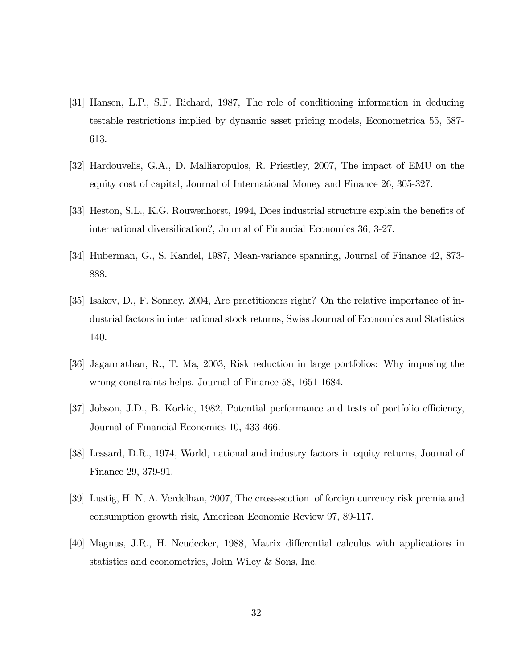- [31] Hansen, L.P., S.F. Richard, 1987, The role of conditioning information in deducing testable restrictions implied by dynamic asset pricing models, Econometrica 55, 587- 613.
- [32] Hardouvelis, G.A., D. Malliaropulos, R. Priestley, 2007, The impact of EMU on the equity cost of capital, Journal of International Money and Finance 26, 305-327.
- [33] Heston, S.L., K.G. Rouwenhorst, 1994, Does industrial structure explain the benefits of international diversification?, Journal of Financial Economics 36, 3-27.
- [34] Huberman, G., S. Kandel, 1987, Mean-variance spanning, Journal of Finance 42, 873- 888.
- [35] Isakov, D., F. Sonney, 2004, Are practitioners right? On the relative importance of industrial factors in international stock returns, Swiss Journal of Economics and Statistics 140.
- [36] Jagannathan, R., T. Ma, 2003, Risk reduction in large portfolios: Why imposing the wrong constraints helps, Journal of Finance 58, 1651-1684.
- [37] Jobson, J.D., B. Korkie, 1982, Potential performance and tests of portfolio efficiency, Journal of Financial Economics 10, 433-466.
- [38] Lessard, D.R., 1974, World, national and industry factors in equity returns, Journal of Finance 29, 379-91.
- [39] Lustig, H. N, A. Verdelhan, 2007, The cross-section of foreign currency risk premia and consumption growth risk, American Economic Review 97, 89-117.
- [40] Magnus, J.R., H. Neudecker, 1988, Matrix differential calculus with applications in statistics and econometrics, John Wiley & Sons, Inc.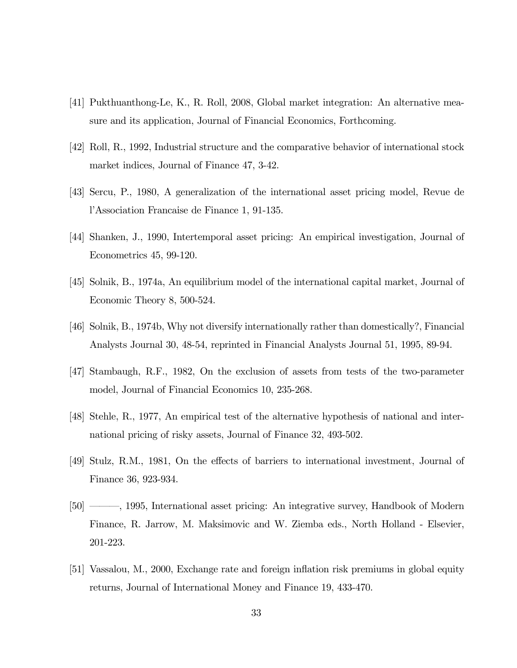- [41] Pukthuanthong-Le, K., R. Roll, 2008, Global market integration: An alternative measure and its application, Journal of Financial Economics, Forthcoming.
- [42] Roll, R., 1992, Industrial structure and the comparative behavior of international stock market indices, Journal of Finance 47, 3-42.
- [43] Sercu, P., 1980, A generalization of the international asset pricing model, Revue de l'Association Francaise de Finance 1, 91-135.
- [44] Shanken, J., 1990, Intertemporal asset pricing: An empirical investigation, Journal of Econometrics 45, 99-120.
- [45] Solnik, B., 1974a, An equilibrium model of the international capital market, Journal of Economic Theory 8, 500-524.
- [46] Solnik, B., 1974b, Why not diversify internationally rather than domestically?, Financial Analysts Journal 30, 48-54, reprinted in Financial Analysts Journal 51, 1995, 89-94.
- [47] Stambaugh, R.F., 1982, On the exclusion of assets from tests of the two-parameter model, Journal of Financial Economics 10, 235-268.
- [48] Stehle, R., 1977, An empirical test of the alternative hypothesis of national and international pricing of risky assets, Journal of Finance 32, 493-502.
- [49] Stulz, R.M., 1981, On the effects of barriers to international investment, Journal of Finance 36, 923-934.
- [50] –––, 1995, International asset pricing: An integrative survey, Handbook of Modern Finance, R. Jarrow, M. Maksimovic and W. Ziemba eds., North Holland - Elsevier, 201-223.
- [51] Vassalou, M., 2000, Exchange rate and foreign inflation risk premiums in global equity returns, Journal of International Money and Finance 19, 433-470.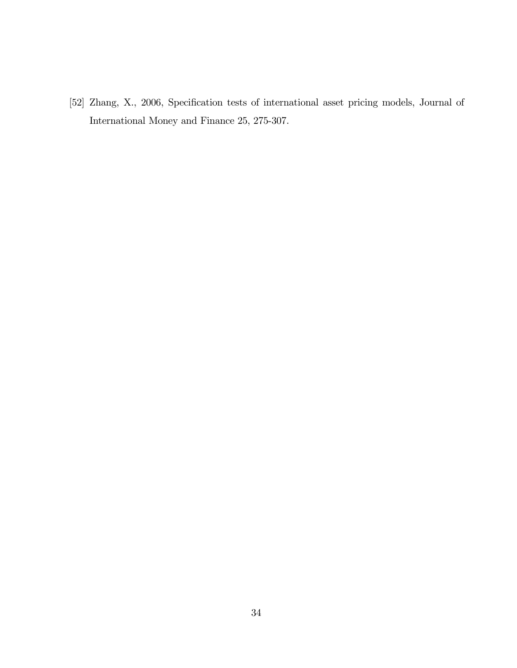[52] Zhang, X., 2006, Specification tests of international asset pricing models, Journal of International Money and Finance 25, 275-307.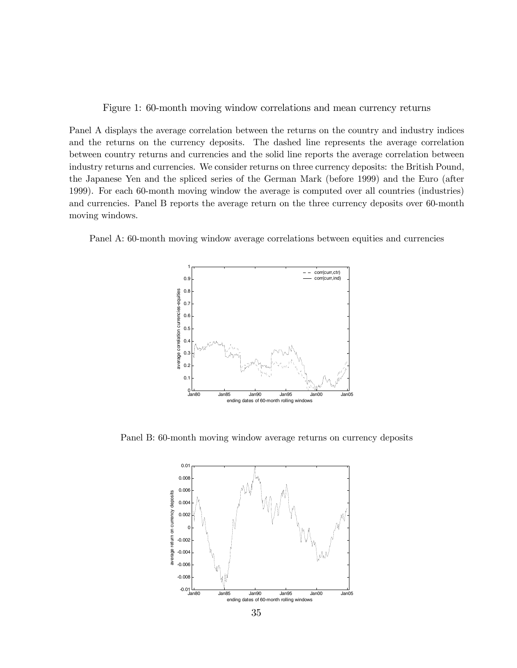Figure 1: 60-month moving window correlations and mean currency returns

Panel A displays the average correlation between the returns on the country and industry indices and the returns on the currency deposits. The dashed line represents the average correlation between country returns and currencies and the solid line reports the average correlation between industry returns and currencies. We consider returns on three currency deposits: the British Pound, the Japanese Yen and the spliced series of the German Mark (before 1999) and the Euro (after 1999). For each 60-month moving window the average is computed over all countries (industries) and currencies. Panel B reports the average return on the three currency deposits over 60-month moving windows.

Panel A: 60-month moving window average correlations between equities and currencies



Panel B: 60-month moving window average returns on currency deposits

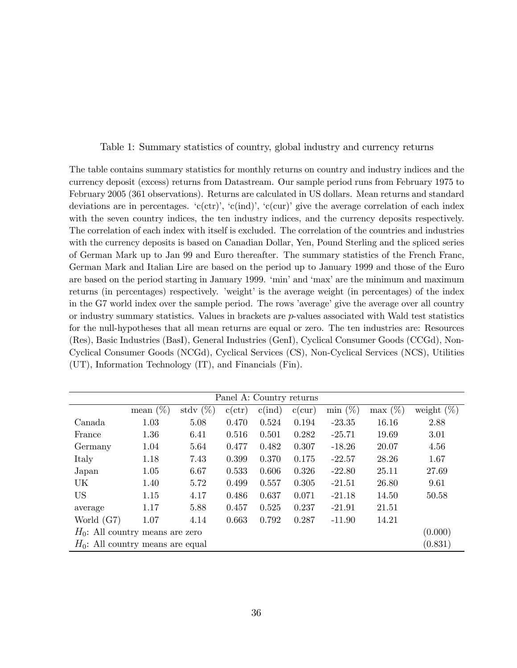Table 1: Summary statistics of country, global industry and currency returns

The table contains summary statistics for monthly returns on country and industry indices and the currency deposit (excess) returns from Datastream. Our sample period runs from February 1975 to February 2005 (361 observations). Returns are calculated in US dollars. Mean returns and standard deviations are in percentages.  $(c(\text{ctr})', c(\text{ind})', (c(\text{cur})')$  give the average correlation of each index with the seven country indices, the ten industry indices, and the currency deposits respectively. The correlation of each index with itself is excluded. The correlation of the countries and industries with the currency deposits is based on Canadian Dollar, Yen, Pound Sterling and the spliced series of German Mark up to Jan 99 and Euro thereafter. The summary statistics of the French Franc, German Mark and Italian Lire are based on the period up to January 1999 and those of the Euro are based on the period starting in January 1999. 'min' and 'max' are the minimum and maximum returns (in percentages) respectively. 'weight' is the average weight (in percentages) of the index in the G7 world index over the sample period. The rows 'average' give the average over all country or industry summary statistics. Values in brackets are p-values associated with Wald test statistics for the null-hypotheses that all mean returns are equal or zero. The ten industries are: Resources (Res), Basic Industries (BasI), General Industries (GenI), Cyclical Consumer Goods (CCGd), Non-Cyclical Consumer Goods (NCGd), Cyclical Services (CS), Non-Cyclical Services (NCS), Utilities (UT), Information Technology (IT), and Financials (Fin).

| Panel A: Country returns            |             |             |        |                 |        |            |            |               |
|-------------------------------------|-------------|-------------|--------|-----------------|--------|------------|------------|---------------|
|                                     | mean $(\%)$ | stdy $(\%)$ | c(ctr) | $c(\text{ind})$ | c(cur) | $\min(\%)$ | $\max(\%)$ | weight $(\%)$ |
| Canada                              | 1.03        | 5.08        | 0.470  | 0.524           | 0.194  | $-23.35$   | 16.16      | 2.88          |
| France                              | 1.36        | 6.41        | 0.516  | 0.501           | 0.282  | $-25.71$   | 19.69      | 3.01          |
| Germany                             | 1.04        | 5.64        | 0.477  | 0.482           | 0.307  | $-18.26$   | 20.07      | 4.56          |
| Italy                               | 1.18        | 7.43        | 0.399  | 0.370           | 0.175  | $-22.57$   | 28.26      | 1.67          |
| Japan                               | 1.05        | 6.67        | 0.533  | 0.606           | 0.326  | $-22.80$   | 25.11      | 27.69         |
| UK                                  | 1.40        | 5.72        | 0.499  | 0.557           | 0.305  | $-21.51$   | 26.80      | 9.61          |
| <b>US</b>                           | 1.15        | 4.17        | 0.486  | 0.637           | 0.071  | $-21.18$   | 14.50      | 50.58         |
| average                             | 1.17        | 5.88        | 0.457  | 0.525           | 0.237  | $-21.91$   | 21.51      |               |
| World $(G7)$                        | 1.07        | 4.14        | 0.663  | 0.792           | 0.287  | $-11.90$   | 14.21      |               |
| $H_0$ : All country means are zero  |             |             |        |                 |        | (0.000)    |            |               |
| $H_0$ : All country means are equal |             |             |        |                 |        |            |            | (0.831)       |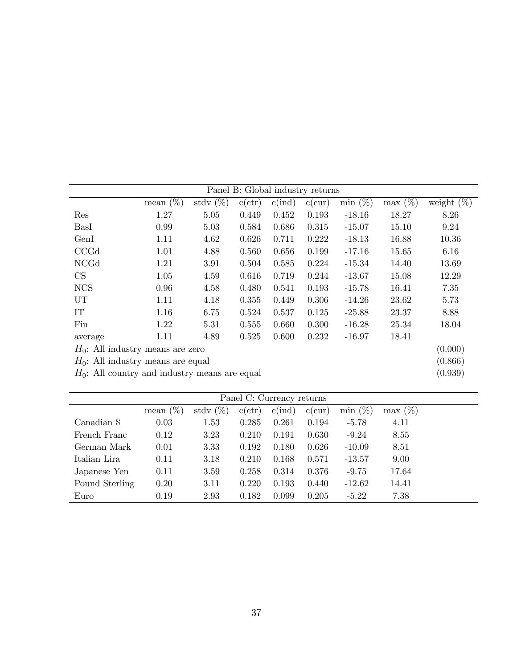|                                     | mean $(\%)$                                      | stdy $(\%)$ | c(ctr) | $c$ (ind) | c(cur) | $\min$ (%) | $\max(\%)$ | weight $(\%)$ |
|-------------------------------------|--------------------------------------------------|-------------|--------|-----------|--------|------------|------------|---------------|
| Res                                 | 1.27                                             | 5.05        | 0.449  | 0.452     | 0.193  | $-18.16$   | 18.27      | 8.26          |
| BasI                                | 0.99                                             | 5.03        | 0.584  | 0.686     | 0.315  | $-15.07$   | 15.10      | 9.24          |
| GenI                                | 1.11                                             | 4.62        | 0.626  | 0.711     | 0.222  | $-18.13$   | 16.88      | 10.36         |
| CCGd                                | 1.01                                             | 4.88        | 0.560  | 0.656     | 0.199  | $-17.16$   | 15.65      | 6.16          |
| <b>NCGd</b>                         | 1.21                                             | 3.91        | 0.504  | 0.585     | 0.224  | $-15.34$   | 14.40      | 13.69         |
| CS                                  | 1.05                                             | 4.59        | 0.616  | 0.719     | 0.244  | $-13.67$   | 15.08      | 12.29         |
| <b>NCS</b>                          | 0.96                                             | 4.58        | 0.480  | 0.541     | 0.193  | $-15.78$   | 16.41      | 7.35          |
| UT                                  | 1.11                                             | 4.18        | 0.355  | 0.449     | 0.306  | $-14.26$   | 23.62      | 5.73          |
| IT                                  | 1.16                                             | 6.75        | 0.524  | 0.537     | 0.125  | $-25.88$   | 23.37      | 8.88          |
| Fin                                 | 1.22                                             | 5.31        | 0.555  | 0.660     | 0.300  | $-16.28$   | 25.34      | 18.04         |
| average                             | 1.11                                             | 4.89        | 0.525  | 0.600     | 0.232  | $-16.97$   | 18.41      |               |
| $H_0$ : All industry means are zero |                                                  |             |        |           |        |            | (0.000)    |               |
|                                     | $H_0$ : All industry means are equal             |             |        |           |        |            |            |               |
|                                     | $H_0$ : All country and industry means are equal |             |        |           |        |            |            | (0.939)       |

| Panel C: Currency returns |             |             |        |                 |        |           |           |
|---------------------------|-------------|-------------|--------|-----------------|--------|-----------|-----------|
|                           | mean $(\%)$ | stdy $(\%)$ | c(ctr) | $c(\text{ind})$ | c(cur) | $\min(\%$ | $\max(\%$ |
| Canadian \$               | 0.03        | 1.53        | 0.285  | 0.261           | 0.194  | $-5.78$   | 4.11      |
| French Franc              | 0.12        | 3.23        | 0.210  | 0.191           | 0.630  | $-9.24$   | 8.55      |
| German Mark               | 0.01        | 3.33        | 0.192  | 0.180           | 0.626  | $-10.09$  | 8.51      |
| Italian Lira              | 0.11        | 3.18        | 0.210  | 0.168           | 0.571  | $-13.57$  | 9.00      |
| Japanese Yen              | 0.11        | 3.59        | 0.258  | 0.314           | 0.376  | $-9.75$   | 17.64     |
| Pound Sterling            | 0.20        | 3.11        | 0.220  | 0.193           | 0.440  | $-12.62$  | 14.41     |
| Euro                      | 0.19        | 2.93        | 0.182  | 0.099           | 0.205  | $-5.22$   | 7.38      |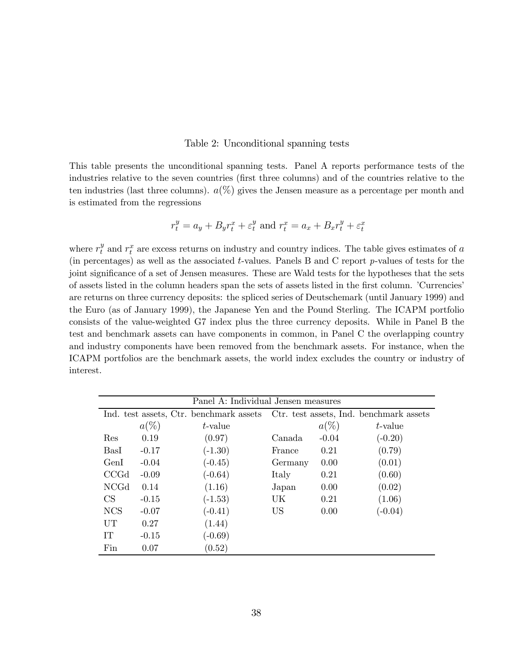#### Table 2: Unconditional spanning tests

This table presents the unconditional spanning tests. Panel A reports performance tests of the industries relative to the seven countries (first three columns) and of the countries relative to the ten industries (last three columns).  $a(\%)$  gives the Jensen measure as a percentage per month and is estimated from the regressions

$$
r_t^y = a_y + B_y r_t^x + \varepsilon_t^y
$$
 and  $r_t^x = a_x + B_x r_t^y + \varepsilon_t^x$ 

where  $r_t^y$  and  $r_t^x$  are excess returns on industry and country indices. The table gives estimates of a (in percentages) as well as the associated t-values. Panels B and C report p-values of tests for the joint significance of a set of Jensen measures. These are Wald tests for the hypotheses that the sets of assets listed in the column headers span the sets of assets listed in the first column. 'Currencies' are returns on three currency deposits: the spliced series of Deutschemark (until January 1999) and the Euro (as of January 1999), the Japanese Yen and the Pound Sterling. The ICAPM portfolio consists of the value-weighted G7 index plus the three currency deposits. While in Panel B the test and benchmark assets can have components in common, in Panel C the overlapping country and industry components have been removed from the benchmark assets. For instance, when the ICAPM portfolios are the benchmark assets, the world index excludes the country or industry of interest.

|             | Panel A: Individual Jensen measures |                                         |           |         |                                         |  |  |  |
|-------------|-------------------------------------|-----------------------------------------|-----------|---------|-----------------------------------------|--|--|--|
|             |                                     | Ind. test assets, Ctr. benchmark assets |           |         | Ctr. test assets, Ind. benchmark assets |  |  |  |
|             | $a(\%)$                             | t-value                                 |           | $a(\%)$ | t-value                                 |  |  |  |
| Res         | 0.19                                | (0.97)                                  | Canada    | $-0.04$ | $(-0.20)$                               |  |  |  |
| BasI        | $-0.17$                             | $(-1.30)$                               | France    | 0.21    | (0.79)                                  |  |  |  |
| GenI        | $-0.04$                             | $(-0.45)$                               | Germany   | 0.00    | (0.01)                                  |  |  |  |
| CCGd        | $-0.09$                             | $(-0.64)$                               | Italy     | 0.21    | (0.60)                                  |  |  |  |
| <b>NCGd</b> | 0.14                                | (1.16)                                  | Japan     | 0.00    | (0.02)                                  |  |  |  |
| <b>CS</b>   | $-0.15$                             | $(-1.53)$                               | UK        | 0.21    | (1.06)                                  |  |  |  |
| <b>NCS</b>  | $-0.07$                             | $(-0.41)$                               | <b>US</b> | 0.00    | $(-0.04)$                               |  |  |  |
| UT          | 0.27                                | (1.44)                                  |           |         |                                         |  |  |  |
| IТ          | $-0.15$                             | $(-0.69)$                               |           |         |                                         |  |  |  |
| Fin         | 0.07                                | (0.52)                                  |           |         |                                         |  |  |  |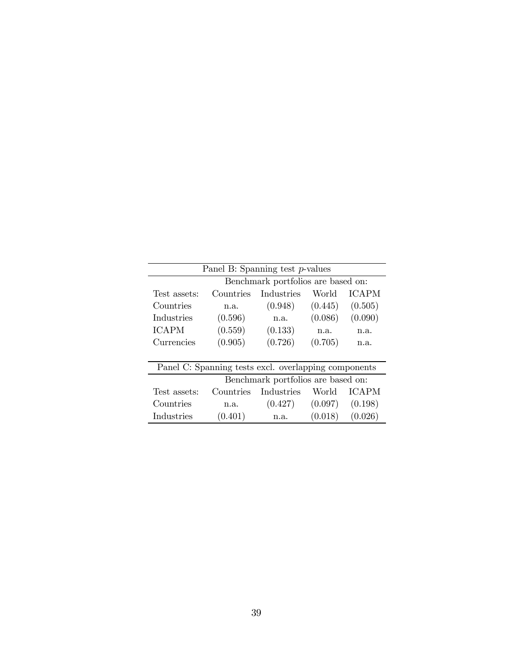|              | Panel B: Spanning test p-values    |                                                      |         |              |  |  |  |  |
|--------------|------------------------------------|------------------------------------------------------|---------|--------------|--|--|--|--|
|              | Benchmark portfolios are based on: |                                                      |         |              |  |  |  |  |
| Test assets: | Countries                          | Industries                                           | World   | <b>ICAPM</b> |  |  |  |  |
| Countries    | n.a.                               | (0.948)                                              | (0.445) | (0.505)      |  |  |  |  |
| Industries   | (0.596)                            | n.a.                                                 | (0.086) | (0.090)      |  |  |  |  |
| <b>ICAPM</b> | (0.559)                            | (0.133)                                              | n.a.    | n.a.         |  |  |  |  |
| Currencies   | (0.905)                            | (0.726)                                              | (0.705) | n.a.         |  |  |  |  |
|              |                                    |                                                      |         |              |  |  |  |  |
|              |                                    | Panel C: Spanning tests excl. overlapping components |         |              |  |  |  |  |
|              | Benchmark portfolios are based on: |                                                      |         |              |  |  |  |  |
| Test assets: | Countries                          | Industries                                           | World   | <b>ICAPM</b> |  |  |  |  |
| Countries    | n.a.                               | (0.427)                                              | (0.097) | (0.198)      |  |  |  |  |
| Industries   | (0.401)                            | n.a.                                                 | (0.018) | (0.026)      |  |  |  |  |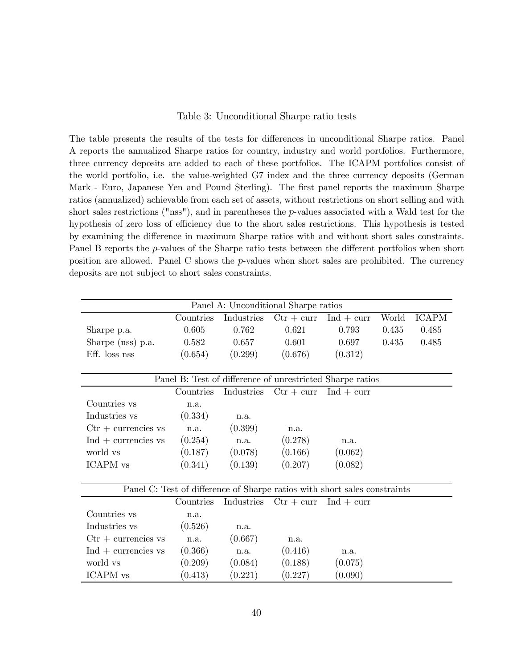#### Table 3: Unconditional Sharpe ratio tests

The table presents the results of the tests for differences in unconditional Sharpe ratios. Panel A reports the annualized Sharpe ratios for country, industry and world portfolios. Furthermore, three currency deposits are added to each of these portfolios. The ICAPM portfolios consist of the world portfolio, i.e. the value-weighted G7 index and the three currency deposits (German Mark - Euro, Japanese Yen and Pound Sterling). The first panel reports the maximum Sharpe ratios (annualized) achievable from each set of assets, without restrictions on short selling and with short sales restrictions ("nss"), and in parentheses the  $p$ -values associated with a Wald test for the hypothesis of zero loss of efficiency due to the short sales restrictions. This hypothesis is tested by examining the difference in maximum Sharpe ratios with and without short sales constraints. Panel B reports the *p*-values of the Sharpe ratio tests between the different portfolios when short position are allowed. Panel C shows the  $p$ -values when short sales are prohibited. The currency deposits are not subject to short sales constraints.

| Panel A: Unconditional Sharpe ratios    |           |            |                                                                           |                                           |       |              |  |
|-----------------------------------------|-----------|------------|---------------------------------------------------------------------------|-------------------------------------------|-------|--------------|--|
|                                         | Countries | Industries |                                                                           | $\mathrm{Ctr} + \mathrm{curr}$ Ind + curr | World | <b>ICAPM</b> |  |
| Sharpe p.a.                             | 0.605     | 0.762      | 0.621                                                                     | 0.793                                     | 0.435 | 0.485        |  |
| Sharpe (nss) p.a.                       | 0.582     | 0.657      | 0.601                                                                     | 0.697                                     | 0.435 | 0.485        |  |
| Eff. loss nss                           | (0.654)   | (0.299)    | (0.676)                                                                   | (0.312)                                   |       |              |  |
|                                         |           |            |                                                                           |                                           |       |              |  |
|                                         |           |            | Panel B: Test of difference of unrestricted Sharpe ratios                 |                                           |       |              |  |
|                                         | Countries |            | Industries $\mathrm{Ctr} + \mathrm{curr}$ Ind + curr                      |                                           |       |              |  |
| Countries vs                            | n.a.      |            |                                                                           |                                           |       |              |  |
| Industries vs                           | (0.334)   | n.a.       |                                                                           |                                           |       |              |  |
| $\mathrm{Ctr} + \mathrm{current}$ is vs | n.a.      | (0.399)    | n.a.                                                                      |                                           |       |              |  |
| $Ind +$ currencies vs                   | (0.254)   | n.a.       | (0.278)                                                                   | n.a.                                      |       |              |  |
| world vs                                | (0.187)   | (0.078)    | (0.166)                                                                   | (0.062)                                   |       |              |  |
| ICAPM vs                                | (0.341)   | (0.139)    | (0.207)                                                                   | (0.082)                                   |       |              |  |
|                                         |           |            |                                                                           |                                           |       |              |  |
|                                         |           |            | Panel C: Test of difference of Sharpe ratios with short sales constraints |                                           |       |              |  |
|                                         | Countries |            | Industries $\mathrm{Ctr} + \mathrm{curr}$ Ind + curr                      |                                           |       |              |  |
| Countries vs                            | n.a.      |            |                                                                           |                                           |       |              |  |
| Industries vs                           | (0.526)   | n.a.       |                                                                           |                                           |       |              |  |
| $\mathrm{Ctr} + \mathrm{current}$ is vs | n.a.      | (0.667)    | n.a.                                                                      |                                           |       |              |  |
| $Ind +$ currencies vs                   | (0.366)   | n.a.       | (0.416)                                                                   | n.a.                                      |       |              |  |
| world vs                                | (0.209)   | (0.084)    | (0.188)                                                                   | (0.075)                                   |       |              |  |
| ICAPM vs                                | (0.413)   | (0.221)    | (0.227)                                                                   | (0.090)                                   |       |              |  |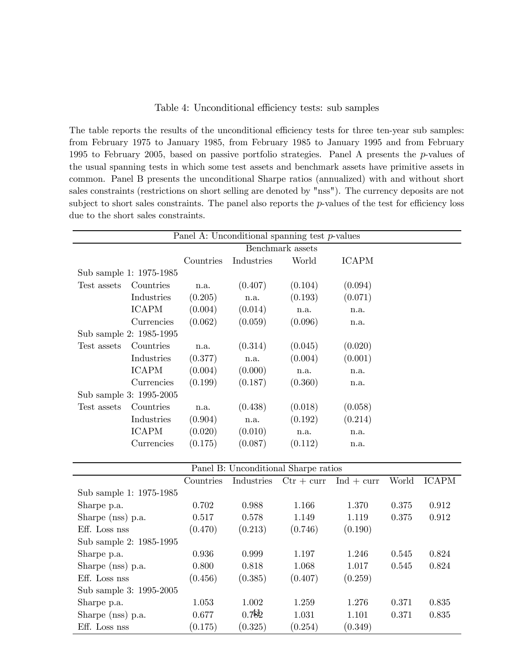#### Table 4: Unconditional efficiency tests: sub samples

The table reports the results of the unconditional efficiency tests for three ten-year sub samples: from February 1975 to January 1985, from February 1985 to January 1995 and from February 1995 to February 2005, based on passive portfolio strategies. Panel A presents the  $p$ -values of the usual spanning tests in which some test assets and benchmark assets have primitive assets in common. Panel B presents the unconditional Sharpe ratios (annualized) with and without short sales constraints (restrictions on short selling are denoted by "nss"). The currency deposits are not subject to short sales constraints. The panel also reports the p-values of the test for efficiency loss due to the short sales constraints.

|                   |                         |           |            | Panel A: Unconditional spanning test $p$ -values |              |       |              |
|-------------------|-------------------------|-----------|------------|--------------------------------------------------|--------------|-------|--------------|
|                   |                         |           |            | Benchmark assets                                 |              |       |              |
|                   |                         | Countries | Industries | World                                            | <b>ICAPM</b> |       |              |
|                   | Sub sample 1: 1975-1985 |           |            |                                                  |              |       |              |
| Test assets       | Countries               | n.a.      | (0.407)    | (0.104)                                          | (0.094)      |       |              |
|                   | Industries              | (0.205)   | n.a.       | (0.193)                                          | (0.071)      |       |              |
|                   | <b>ICAPM</b>            | (0.004)   | (0.014)    | n.a.                                             | n.a.         |       |              |
|                   | Currencies              | (0.062)   | (0.059)    | (0.096)                                          | n.a.         |       |              |
|                   | Sub sample 2: 1985-1995 |           |            |                                                  |              |       |              |
| Test assets       | Countries               | n.a.      | (0.314)    | (0.045)                                          | (0.020)      |       |              |
|                   | Industries              | (0.377)   | n.a.       | (0.004)                                          | (0.001)      |       |              |
|                   | <b>ICAPM</b>            | (0.004)   | (0.000)    | n.a.                                             | n.a.         |       |              |
|                   | Currencies              | (0.199)   | (0.187)    | (0.360)                                          | n.a.         |       |              |
|                   | Sub sample 3: 1995-2005 |           |            |                                                  |              |       |              |
| Test assets       | Countries               | n.a.      | (0.438)    | (0.018)                                          | (0.058)      |       |              |
|                   | Industries              | (0.904)   | n.a.       | (0.192)                                          | (0.214)      |       |              |
|                   | <b>ICAPM</b>            | (0.020)   | (0.010)    | n.a.                                             | n.a.         |       |              |
|                   | Currencies              | (0.175)   | (0.087)    | (0.112)                                          | n.a.         |       |              |
|                   |                         |           |            |                                                  |              |       |              |
|                   |                         |           |            | Panel B: Unconditional Sharpe ratios             |              |       |              |
|                   |                         | Countries | Industries | $Ctr + curr$                                     | $Ind + curr$ | World | <b>ICAPM</b> |
|                   | Sub sample 1: 1975-1985 |           |            |                                                  |              |       |              |
| Sharpe p.a.       |                         | 0.702     | 0.988      | 1.166                                            | 1.370        | 0.375 | 0.912        |
| Sharpe (nss) p.a. |                         | 0.517     | 0.578      | 1.149                                            | 1.119        | 0.375 | 0.912        |
| Eff. Loss nss     |                         | (0.470)   | (0.213)    | (0.746)                                          | (0.190)      |       |              |
|                   | Sub sample 2: 1985-1995 |           |            |                                                  |              |       |              |
| Sharpe p.a.       |                         | 0.936     | 0.999      | 1.197                                            | 1.246        | 0.545 | 0.824        |
| Sharpe (nss) p.a. |                         | 0.800     | 0.818      | 1.068                                            | 1.017        | 0.545 | 0.824        |
| Eff. Loss nss     |                         | (0.456)   | (0.385)    | (0.407)                                          | (0.259)      |       |              |
|                   | Sub sample 3: 1995-2005 |           |            |                                                  |              |       |              |
| Sharpe p.a.       |                         | 1.053     | 1.002      | 1.259                                            | 1.276        | 0.371 | 0.835        |
| Sharpe (nss) p.a. |                         | 0.677     | 0.782      | 1.031                                            | 1.101        | 0.371 | 0.835        |
| Eff. Loss nss     |                         | (0.175)   | (0.325)    | (0.254)                                          | (0.349)      |       |              |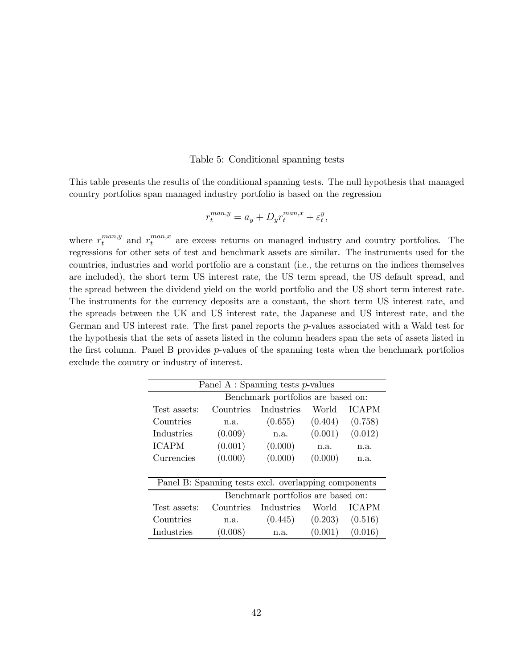#### Table 5: Conditional spanning tests

This table presents the results of the conditional spanning tests. The null hypothesis that managed country portfolios span managed industry portfolio is based on the regression

$$
r_t^{man,y} = a_y + D_y r_t^{man,x} + \varepsilon_t^y,
$$

where  $r_t^{man,y}$  and  $r_t^{man,x}$  are excess returns on managed industry and country portfolios. The regressions for other sets of test and benchmark assets are similar. The instruments used for the countries, industries and world portfolio are a constant (i.e., the returns on the indices themselves are included), the short term US interest rate, the US term spread, the US default spread, and the spread between the dividend yield on the world portfolio and the US short term interest rate. The instruments for the currency deposits are a constant, the short term US interest rate, and the spreads between the UK and US interest rate, the Japanese and US interest rate, and the German and US interest rate. The first panel reports the p-values associated with a Wald test for the hypothesis that the sets of assets listed in the column headers span the sets of assets listed in the first column. Panel B provides  $p$ -values of the spanning tests when the benchmark portfolios exclude the country or industry of interest.

|              | Panel A : Spanning tests $p$ -values                 |            |         |              |  |  |  |  |
|--------------|------------------------------------------------------|------------|---------|--------------|--|--|--|--|
|              | Benchmark portfolios are based on:                   |            |         |              |  |  |  |  |
| Test assets: | Countries                                            | Industries | World   | <b>ICAPM</b> |  |  |  |  |
| Countries    | n.a.                                                 | (0.655)    | (0.404) | (0.758)      |  |  |  |  |
| Industries   | (0.009)                                              | n.a.       | (0.001) | (0.012)      |  |  |  |  |
| <b>ICAPM</b> | (0.001)                                              | (0.000)    | n.a.    | n.a.         |  |  |  |  |
| Currencies   | (0.000)                                              | (0.000)    | (0.000) | n.a.         |  |  |  |  |
|              |                                                      |            |         |              |  |  |  |  |
|              | Panel B: Spanning tests excl. overlapping components |            |         |              |  |  |  |  |
|              | Benchmark portfolios are based on:                   |            |         |              |  |  |  |  |
| Test assets: | Countries                                            | Industries | World   | <b>ICAPM</b> |  |  |  |  |
| Countries    | n.a.                                                 | (0.445)    | (0.203) | (0.516)      |  |  |  |  |
| Industries   | (0.008)                                              | n.a.       | (0.001) | (0.016)      |  |  |  |  |